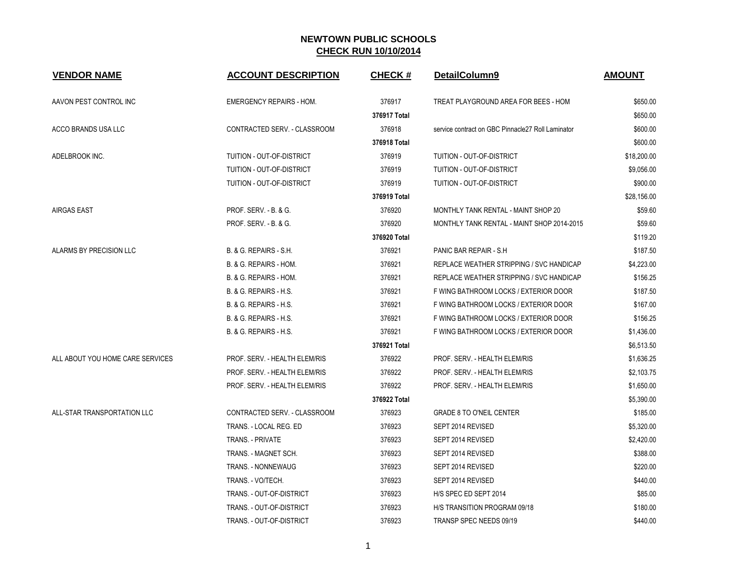| <b>VENDOR NAME</b>               | <b>ACCOUNT DESCRIPTION</b>        | <b>CHECK#</b> | DetailColumn9                                     | <b>AMOUNT</b> |
|----------------------------------|-----------------------------------|---------------|---------------------------------------------------|---------------|
| AAVON PEST CONTROL INC           | <b>EMERGENCY REPAIRS - HOM.</b>   | 376917        | TREAT PLAYGROUND AREA FOR BEES - HOM              | \$650.00      |
|                                  |                                   | 376917 Total  |                                                   | \$650.00      |
| ACCO BRANDS USA LLC              | CONTRACTED SERV. - CLASSROOM      | 376918        | service contract on GBC Pinnacle27 Roll Laminator | \$600.00      |
|                                  |                                   | 376918 Total  |                                                   | \$600.00      |
| ADELBROOK INC.                   | TUITION - OUT-OF-DISTRICT         | 376919        | TUITION - OUT-OF-DISTRICT                         | \$18,200.00   |
|                                  | TUITION - OUT-OF-DISTRICT         | 376919        | <b>TUITION - OUT-OF-DISTRICT</b>                  | \$9,056.00    |
|                                  | TUITION - OUT-OF-DISTRICT         | 376919        | TUITION - OUT-OF-DISTRICT                         | \$900.00      |
|                                  |                                   | 376919 Total  |                                                   | \$28,156.00   |
| <b>AIRGAS EAST</b>               | PROF. SERV. - B. & G.             | 376920        | MONTHLY TANK RENTAL - MAINT SHOP 20               | \$59.60       |
|                                  | PROF. SERV. - B. & G.             | 376920        | MONTHLY TANK RENTAL - MAINT SHOP 2014-2015        | \$59.60       |
|                                  |                                   | 376920 Total  |                                                   | \$119.20      |
| ALARMS BY PRECISION LLC          | B. & G. REPAIRS - S.H.            | 376921        | PANIC BAR REPAIR - S.H.                           | \$187.50      |
|                                  | B. & G. REPAIRS - HOM.            | 376921        | REPLACE WEATHER STRIPPING / SVC HANDICAP          | \$4,223.00    |
|                                  | B. & G. REPAIRS - HOM.            | 376921        | REPLACE WEATHER STRIPPING / SVC HANDICAP          | \$156.25      |
|                                  | B. & G. REPAIRS - H.S.            | 376921        | F WING BATHROOM LOCKS / EXTERIOR DOOR             | \$187.50      |
|                                  | B. & G. REPAIRS - H.S.            | 376921        | F WING BATHROOM LOCKS / EXTERIOR DOOR             | \$167.00      |
|                                  | <b>B. &amp; G. REPAIRS - H.S.</b> | 376921        | F WING BATHROOM LOCKS / EXTERIOR DOOR             | \$156.25      |
|                                  | B. & G. REPAIRS - H.S.            | 376921        | F WING BATHROOM LOCKS / EXTERIOR DOOR             | \$1,436.00    |
|                                  |                                   | 376921 Total  |                                                   | \$6,513.50    |
| ALL ABOUT YOU HOME CARE SERVICES | PROF. SERV. - HEALTH ELEM/RIS     | 376922        | PROF. SERV. - HEALTH ELEM/RIS                     | \$1,636.25    |
|                                  | PROF. SERV. - HEALTH ELEM/RIS     | 376922        | PROF. SERV. - HEALTH ELEM/RIS                     | \$2,103.75    |
|                                  | PROF. SERV. - HEALTH ELEM/RIS     | 376922        | PROF. SERV. - HEALTH ELEM/RIS                     | \$1,650.00    |
|                                  |                                   | 376922 Total  |                                                   | \$5,390.00    |
| ALL-STAR TRANSPORTATION LLC      | CONTRACTED SERV. - CLASSROOM      | 376923        | <b>GRADE 8 TO O'NEIL CENTER</b>                   | \$185.00      |
|                                  | TRANS. - LOCAL REG. ED            | 376923        | SEPT 2014 REVISED                                 | \$5,320.00    |
|                                  | TRANS. - PRIVATE                  | 376923        | SEPT 2014 REVISED                                 | \$2,420.00    |
|                                  | TRANS. - MAGNET SCH.              | 376923        | SEPT 2014 REVISED                                 | \$388.00      |
|                                  | <b>TRANS. - NONNEWAUG</b>         | 376923        | SEPT 2014 REVISED                                 | \$220.00      |
|                                  | TRANS. - VO/TECH.                 | 376923        | SEPT 2014 REVISED                                 | \$440.00      |
|                                  | TRANS. - OUT-OF-DISTRICT          | 376923        | H/S SPEC ED SEPT 2014                             | \$85.00       |
|                                  | TRANS. - OUT-OF-DISTRICT          | 376923        | H/S TRANSITION PROGRAM 09/18                      | \$180.00      |
|                                  | TRANS. - OUT-OF-DISTRICT          | 376923        | TRANSP SPEC NEEDS 09/19                           | \$440.00      |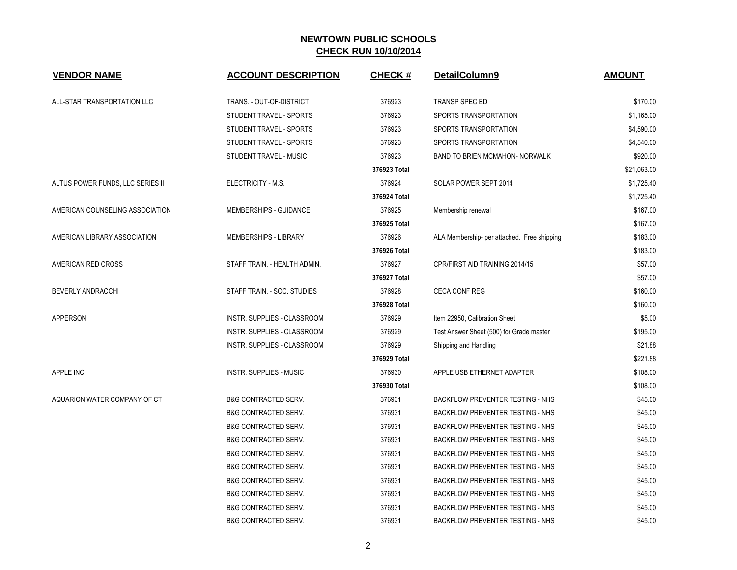| <b>VENDOR NAME</b>               | <b>ACCOUNT DESCRIPTION</b>      | <b>CHECK#</b> | DetailColumn9                               | <b>AMOUNT</b> |
|----------------------------------|---------------------------------|---------------|---------------------------------------------|---------------|
| ALL-STAR TRANSPORTATION LLC      | TRANS. - OUT-OF-DISTRICT        | 376923        | TRANSP SPEC ED                              | \$170.00      |
|                                  | STUDENT TRAVEL - SPORTS         | 376923        | SPORTS TRANSPORTATION                       | \$1,165.00    |
|                                  | STUDENT TRAVEL - SPORTS         | 376923        | SPORTS TRANSPORTATION                       | \$4,590.00    |
|                                  | STUDENT TRAVEL - SPORTS         | 376923        | SPORTS TRANSPORTATION                       | \$4,540.00    |
|                                  | STUDENT TRAVEL - MUSIC          | 376923        | <b>BAND TO BRIEN MCMAHON- NORWALK</b>       | \$920.00      |
|                                  |                                 | 376923 Total  |                                             | \$21,063.00   |
| ALTUS POWER FUNDS, LLC SERIES II | ELECTRICITY - M.S.              | 376924        | SOLAR POWER SEPT 2014                       | \$1,725.40    |
|                                  |                                 | 376924 Total  |                                             | \$1,725.40    |
| AMERICAN COUNSELING ASSOCIATION  | MEMBERSHIPS - GUIDANCE          | 376925        | Membership renewal                          | \$167.00      |
|                                  |                                 | 376925 Total  |                                             | \$167.00      |
| AMERICAN LIBRARY ASSOCIATION     | <b>MEMBERSHIPS - LIBRARY</b>    | 376926        | ALA Membership- per attached. Free shipping | \$183.00      |
|                                  |                                 | 376926 Total  |                                             | \$183.00      |
| AMERICAN RED CROSS               | STAFF TRAIN. - HEALTH ADMIN.    | 376927        | CPR/FIRST AID TRAINING 2014/15              | \$57.00       |
|                                  |                                 | 376927 Total  |                                             | \$57.00       |
| BEVERLY ANDRACCHI                | STAFF TRAIN. - SOC. STUDIES     | 376928        | <b>CECA CONF REG</b>                        | \$160.00      |
|                                  |                                 | 376928 Total  |                                             | \$160.00      |
| APPERSON                         | INSTR. SUPPLIES - CLASSROOM     | 376929        | Item 22950, Calibration Sheet               | \$5.00        |
|                                  | INSTR. SUPPLIES - CLASSROOM     | 376929        | Test Answer Sheet (500) for Grade master    | \$195.00      |
|                                  | INSTR. SUPPLIES - CLASSROOM     | 376929        | Shipping and Handling                       | \$21.88       |
|                                  |                                 | 376929 Total  |                                             | \$221.88      |
| APPLE INC.                       | <b>INSTR. SUPPLIES - MUSIC</b>  | 376930        | APPLE USB ETHERNET ADAPTER                  | \$108.00      |
|                                  |                                 | 376930 Total  |                                             | \$108.00      |
| AQUARION WATER COMPANY OF CT     | <b>B&amp;G CONTRACTED SERV.</b> | 376931        | BACKFLOW PREVENTER TESTING - NHS            | \$45.00       |
|                                  | <b>B&amp;G CONTRACTED SERV.</b> | 376931        | BACKFLOW PREVENTER TESTING - NHS            | \$45.00       |
|                                  | <b>B&amp;G CONTRACTED SERV.</b> | 376931        | <b>BACKFLOW PREVENTER TESTING - NHS</b>     | \$45.00       |
|                                  | <b>B&amp;G CONTRACTED SERV.</b> | 376931        | <b>BACKFLOW PREVENTER TESTING - NHS</b>     | \$45.00       |
|                                  | <b>B&amp;G CONTRACTED SERV.</b> | 376931        | <b>BACKFLOW PREVENTER TESTING - NHS</b>     | \$45.00       |
|                                  | <b>B&amp;G CONTRACTED SERV.</b> | 376931        | <b>BACKFLOW PREVENTER TESTING - NHS</b>     | \$45.00       |
|                                  | <b>B&amp;G CONTRACTED SERV.</b> | 376931        | <b>BACKFLOW PREVENTER TESTING - NHS</b>     | \$45.00       |
|                                  | <b>B&amp;G CONTRACTED SERV.</b> | 376931        | BACKFLOW PREVENTER TESTING - NHS            | \$45.00       |
|                                  | <b>B&amp;G CONTRACTED SERV.</b> | 376931        | <b>BACKFLOW PREVENTER TESTING - NHS</b>     | \$45.00       |
|                                  | <b>B&amp;G CONTRACTED SERV.</b> | 376931        | <b>BACKFLOW PREVENTER TESTING - NHS</b>     | \$45.00       |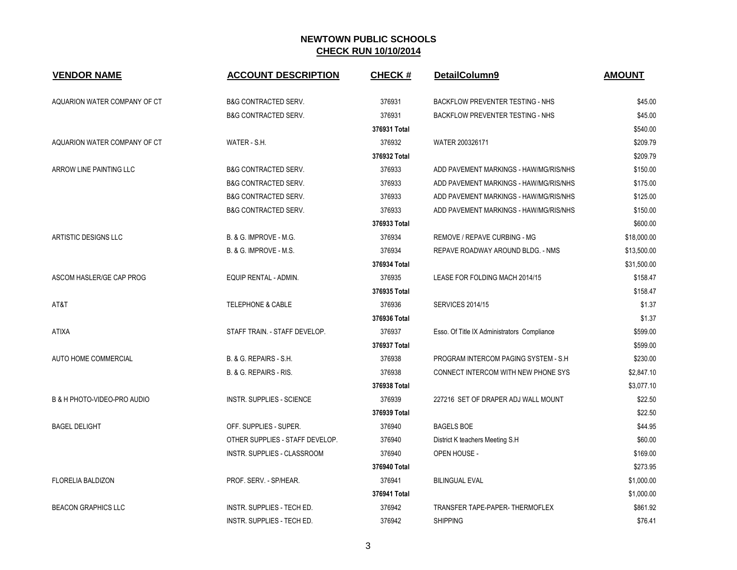| <b>VENDOR NAME</b>           | <b>ACCOUNT DESCRIPTION</b>       | <b>CHECK#</b> | DetailColumn9                               | <b>AMOUNT</b> |
|------------------------------|----------------------------------|---------------|---------------------------------------------|---------------|
| AQUARION WATER COMPANY OF CT | <b>B&amp;G CONTRACTED SERV.</b>  | 376931        | <b>BACKFLOW PREVENTER TESTING - NHS</b>     | \$45.00       |
|                              | <b>B&amp;G CONTRACTED SERV.</b>  | 376931        | <b>BACKFLOW PREVENTER TESTING - NHS</b>     | \$45.00       |
|                              |                                  | 376931 Total  |                                             | \$540.00      |
| AQUARION WATER COMPANY OF CT | WATER - S.H.                     | 376932        | WATER 200326171                             | \$209.79      |
|                              |                                  | 376932 Total  |                                             | \$209.79      |
| ARROW LINE PAINTING LLC      | <b>B&amp;G CONTRACTED SERV.</b>  | 376933        | ADD PAVEMENT MARKINGS - HAW/MG/RIS/NHS      | \$150.00      |
|                              | <b>B&amp;G CONTRACTED SERV.</b>  | 376933        | ADD PAVEMENT MARKINGS - HAW/MG/RIS/NHS      | \$175.00      |
|                              | <b>B&amp;G CONTRACTED SERV.</b>  | 376933        | ADD PAVEMENT MARKINGS - HAW/MG/RIS/NHS      | \$125.00      |
|                              | <b>B&amp;G CONTRACTED SERV.</b>  | 376933        | ADD PAVEMENT MARKINGS - HAW/MG/RIS/NHS      | \$150.00      |
|                              |                                  | 376933 Total  |                                             | \$600.00      |
| <b>ARTISTIC DESIGNS LLC</b>  | B. & G. IMPROVE - M.G.           | 376934        | REMOVE / REPAVE CURBING - MG                | \$18,000.00   |
|                              | B. & G. IMPROVE - M.S.           | 376934        | REPAVE ROADWAY AROUND BLDG. - NMS           | \$13,500.00   |
|                              |                                  | 376934 Total  |                                             | \$31,500.00   |
| ASCOM HASLER/GE CAP PROG     | <b>EQUIP RENTAL - ADMIN.</b>     | 376935        | LEASE FOR FOLDING MACH 2014/15              | \$158.47      |
|                              |                                  | 376935 Total  |                                             | \$158.47      |
| AT&T                         | <b>TELEPHONE &amp; CABLE</b>     | 376936        | <b>SERVICES 2014/15</b>                     | \$1.37        |
|                              |                                  | 376936 Total  |                                             | \$1.37        |
| <b>ATIXA</b>                 | STAFF TRAIN. - STAFF DEVELOP.    | 376937        | Esso. Of Title IX Administrators Compliance | \$599.00      |
|                              |                                  | 376937 Total  |                                             | \$599.00      |
| <b>AUTO HOME COMMERCIAL</b>  | B. & G. REPAIRS - S.H.           | 376938        | PROGRAM INTERCOM PAGING SYSTEM - S.H        | \$230.00      |
|                              | B. & G. REPAIRS - RIS.           | 376938        | CONNECT INTERCOM WITH NEW PHONE SYS         | \$2,847.10    |
|                              |                                  | 376938 Total  |                                             | \$3,077.10    |
| B & H PHOTO-VIDEO-PRO AUDIO  | <b>INSTR. SUPPLIES - SCIENCE</b> | 376939        | 227216 SET OF DRAPER ADJ WALL MOUNT         | \$22.50       |
|                              |                                  | 376939 Total  |                                             | \$22.50       |
| <b>BAGEL DELIGHT</b>         | OFF. SUPPLIES - SUPER.           | 376940        | <b>BAGELS BOE</b>                           | \$44.95       |
|                              | OTHER SUPPLIES - STAFF DEVELOP.  | 376940        | District K teachers Meeting S.H             | \$60.00       |
|                              | INSTR. SUPPLIES - CLASSROOM      | 376940        | OPEN HOUSE -                                | \$169.00      |
|                              |                                  | 376940 Total  |                                             | \$273.95      |
| <b>FLORELIA BALDIZON</b>     | PROF. SERV. - SP/HEAR.           | 376941        | <b>BILINGUAL EVAL</b>                       | \$1,000.00    |
|                              |                                  | 376941 Total  |                                             | \$1,000.00    |
| <b>BEACON GRAPHICS LLC</b>   | INSTR. SUPPLIES - TECH ED.       | 376942        | TRANSFER TAPE-PAPER-THERMOFLEX              | \$861.92      |
|                              | INSTR. SUPPLIES - TECH ED.       | 376942        | <b>SHIPPING</b>                             | \$76.41       |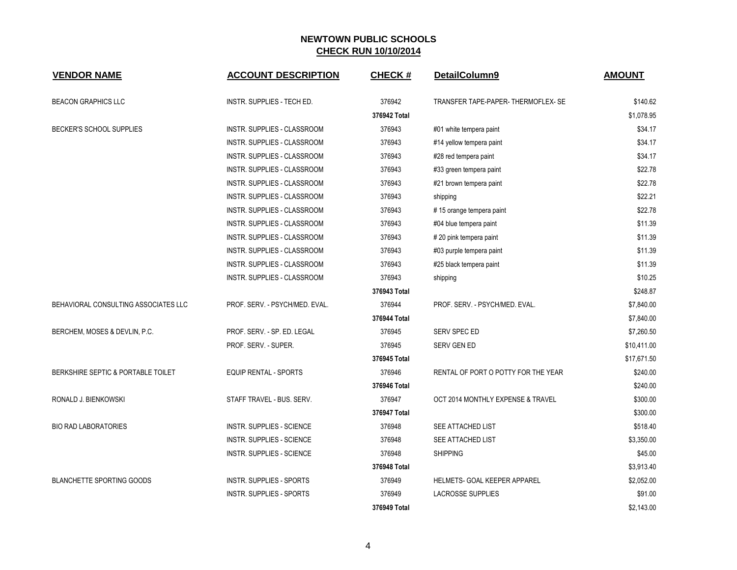| <b>VENDOR NAME</b>                   | <b>ACCOUNT DESCRIPTION</b>         | <b>CHECK#</b> | DetailColumn9                       | <b>AMOUNT</b> |
|--------------------------------------|------------------------------------|---------------|-------------------------------------|---------------|
| <b>BEACON GRAPHICS LLC</b>           | INSTR. SUPPLIES - TECH ED.         | 376942        | TRANSFER TAPE-PAPER-THERMOFLEX-SE   | \$140.62      |
|                                      |                                    | 376942 Total  |                                     | \$1,078.95    |
| BECKER'S SCHOOL SUPPLIES             | INSTR. SUPPLIES - CLASSROOM        | 376943        | #01 white tempera paint             | \$34.17       |
|                                      | INSTR. SUPPLIES - CLASSROOM        | 376943        | #14 yellow tempera paint            | \$34.17       |
|                                      | <b>INSTR. SUPPLIES - CLASSROOM</b> | 376943        | #28 red tempera paint               | \$34.17       |
|                                      | INSTR. SUPPLIES - CLASSROOM        | 376943        | #33 green tempera paint             | \$22.78       |
|                                      | INSTR. SUPPLIES - CLASSROOM        | 376943        | #21 brown tempera paint             | \$22.78       |
|                                      | INSTR. SUPPLIES - CLASSROOM        | 376943        | shipping                            | \$22.21       |
|                                      | INSTR. SUPPLIES - CLASSROOM        | 376943        | #15 orange tempera paint            | \$22.78       |
|                                      | INSTR. SUPPLIES - CLASSROOM        | 376943        | #04 blue tempera paint              | \$11.39       |
|                                      | INSTR. SUPPLIES - CLASSROOM        | 376943        | #20 pink tempera paint              | \$11.39       |
|                                      | INSTR. SUPPLIES - CLASSROOM        | 376943        | #03 purple tempera paint            | \$11.39       |
|                                      | INSTR. SUPPLIES - CLASSROOM        | 376943        | #25 black tempera paint             | \$11.39       |
|                                      | INSTR. SUPPLIES - CLASSROOM        | 376943        | shipping                            | \$10.25       |
|                                      |                                    | 376943 Total  |                                     | \$248.87      |
| BEHAVIORAL CONSULTING ASSOCIATES LLC | PROF. SERV. - PSYCH/MED. EVAL.     | 376944        | PROF. SERV. - PSYCH/MED. EVAL.      | \$7,840.00    |
|                                      |                                    | 376944 Total  |                                     | \$7,840.00    |
| BERCHEM, MOSES & DEVLIN, P.C.        | PROF. SERV. - SP. ED. LEGAL        | 376945        | SERV SPEC ED                        | \$7,260.50    |
|                                      | PROF. SERV. - SUPER.               | 376945        | SERV GEN ED                         | \$10,411.00   |
|                                      |                                    | 376945 Total  |                                     | \$17,671.50   |
| BERKSHIRE SEPTIC & PORTABLE TOILET   | EQUIP RENTAL - SPORTS              | 376946        | RENTAL OF PORT O POTTY FOR THE YEAR | \$240.00      |
|                                      |                                    | 376946 Total  |                                     | \$240.00      |
| RONALD J. BIENKOWSKI                 | STAFF TRAVEL - BUS. SERV.          | 376947        | OCT 2014 MONTHLY EXPENSE & TRAVEL   | \$300.00      |
|                                      |                                    | 376947 Total  |                                     | \$300.00      |
| <b>BIO RAD LABORATORIES</b>          | <b>INSTR. SUPPLIES - SCIENCE</b>   | 376948        | SEE ATTACHED LIST                   | \$518.40      |
|                                      | <b>INSTR. SUPPLIES - SCIENCE</b>   | 376948        | SEE ATTACHED LIST                   | \$3,350.00    |
|                                      | <b>INSTR. SUPPLIES - SCIENCE</b>   | 376948        | <b>SHIPPING</b>                     | \$45.00       |
|                                      |                                    | 376948 Total  |                                     | \$3,913.40    |
| <b>BLANCHETTE SPORTING GOODS</b>     | <b>INSTR. SUPPLIES - SPORTS</b>    | 376949        | <b>HELMETS- GOAL KEEPER APPAREL</b> | \$2,052.00    |
|                                      | <b>INSTR. SUPPLIES - SPORTS</b>    | 376949        | <b>LACROSSE SUPPLIES</b>            | \$91.00       |
|                                      |                                    | 376949 Total  |                                     | \$2.143.00    |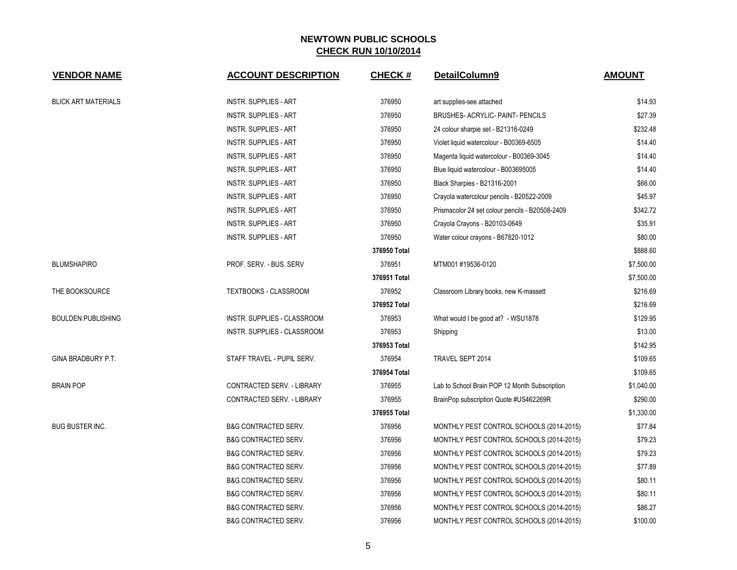| <b>VENDOR NAME</b>         | <b>ACCOUNT DESCRIPTION</b>      | <b>CHECK#</b> | DetailColumn9                                   | <b>AMOUNT</b> |
|----------------------------|---------------------------------|---------------|-------------------------------------------------|---------------|
| <b>BLICK ART MATERIALS</b> | <b>INSTR. SUPPLIES - ART</b>    | 376950        | art supplies-see attached                       | \$14.93       |
|                            | <b>INSTR. SUPPLIES - ART</b>    | 376950        | BRUSHES- ACRYLIC- PAINT- PENCILS                | \$27.39       |
|                            | <b>INSTR. SUPPLIES - ART</b>    | 376950        | 24 colour sharpie set - B21316-0249             | \$232.48      |
|                            | <b>INSTR. SUPPLIES - ART</b>    | 376950        | Violet liquid watercolour - B00369-6505         | \$14.40       |
|                            | <b>INSTR. SUPPLIES - ART</b>    | 376950        | Magenta liquid watercolour - B00369-3045        | \$14.40       |
|                            | <b>INSTR. SUPPLIES - ART</b>    | 376950        | Blue liquid watercolour - B003695005            | \$14.40       |
|                            | <b>INSTR. SUPPLIES - ART</b>    | 376950        | Black Sharpies - B21316-2001                    | \$66.00       |
|                            | <b>INSTR. SUPPLIES - ART</b>    | 376950        | Crayola watercolour pencils - B20522-2009       | \$45.97       |
|                            | <b>INSTR. SUPPLIES - ART</b>    | 376950        | Prismacolor 24 set colour pencils - B20508-2409 | \$342.72      |
|                            | <b>INSTR. SUPPLIES - ART</b>    | 376950        | Crayola Crayons - B20103-0649                   | \$35.91       |
|                            | <b>INSTR. SUPPLIES - ART</b>    | 376950        | Water colour crayons - B67820-1012              | \$80.00       |
|                            |                                 | 376950 Total  |                                                 | \$888.60      |
| <b>BLUMSHAPIRO</b>         | PROF. SERV. - BUS. SERV         | 376951        | MTM001#19536-0120                               | \$7,500.00    |
|                            |                                 | 376951 Total  |                                                 | \$7,500.00    |
| THE BOOKSOURCE             | <b>TEXTBOOKS - CLASSROOM</b>    | 376952        | Classroom Library books, new K-massett          | \$216.69      |
|                            |                                 | 376952 Total  |                                                 | \$216.69      |
| <b>BOULDEN PUBLISHING</b>  | INSTR. SUPPLIES - CLASSROOM     | 376953        | What would I be good at? - WSU1878              | \$129.95      |
|                            | INSTR. SUPPLIES - CLASSROOM     | 376953        | Shipping                                        | \$13.00       |
|                            |                                 | 376953 Total  |                                                 | \$142.95      |
| GINA BRADBURY P.T.         | STAFF TRAVEL - PUPIL SERV.      | 376954        | TRAVEL SEPT 2014                                | \$109.65      |
|                            |                                 | 376954 Total  |                                                 | \$109.65      |
| <b>BRAIN POP</b>           | CONTRACTED SERV. - LIBRARY      | 376955        | Lab to School Brain POP 12 Month Subscription   | \$1,040.00    |
|                            | CONTRACTED SERV. - LIBRARY      | 376955        | BrainPop subscription Quote #US462269R          | \$290.00      |
|                            |                                 | 376955 Total  |                                                 | \$1,330.00    |
| <b>BUG BUSTER INC.</b>     | <b>B&amp;G CONTRACTED SERV.</b> | 376956        | MONTHLY PEST CONTROL SCHOOLS (2014-2015)        | \$77.84       |
|                            | <b>B&amp;G CONTRACTED SERV.</b> | 376956        | MONTHLY PEST CONTROL SCHOOLS (2014-2015)        | \$79.23       |
|                            | <b>B&amp;G CONTRACTED SERV.</b> | 376956        | MONTHLY PEST CONTROL SCHOOLS (2014-2015)        | \$79.23       |
|                            | <b>B&amp;G CONTRACTED SERV.</b> | 376956        | MONTHLY PEST CONTROL SCHOOLS (2014-2015)        | \$77.89       |
|                            | <b>B&amp;G CONTRACTED SERV.</b> | 376956        | MONTHLY PEST CONTROL SCHOOLS (2014-2015)        | \$80.11       |
|                            | <b>B&amp;G CONTRACTED SERV.</b> | 376956        | MONTHLY PEST CONTROL SCHOOLS (2014-2015)        | \$80.11       |
|                            | <b>B&amp;G CONTRACTED SERV.</b> | 376956        | MONTHLY PEST CONTROL SCHOOLS (2014-2015)        | \$86.27       |
|                            | <b>B&amp;G CONTRACTED SERV.</b> | 376956        | MONTHLY PEST CONTROL SCHOOLS (2014-2015)        | \$100.00      |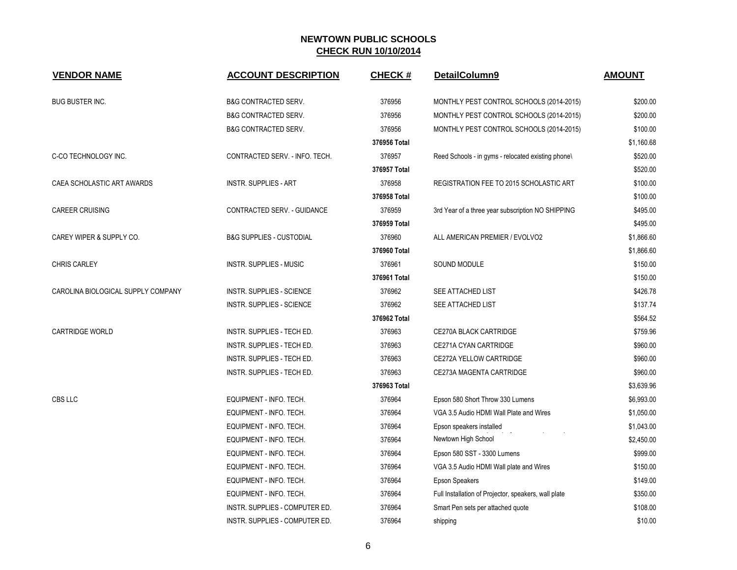| <b>VENDOR NAME</b>                 | <b>ACCOUNT DESCRIPTION</b>          | <b>CHECK#</b> | DetailColumn9                                        | <b>AMOUNT</b> |
|------------------------------------|-------------------------------------|---------------|------------------------------------------------------|---------------|
| <b>BUG BUSTER INC.</b>             | <b>B&amp;G CONTRACTED SERV.</b>     | 376956        | MONTHLY PEST CONTROL SCHOOLS (2014-2015)             | \$200.00      |
|                                    | <b>B&amp;G CONTRACTED SERV.</b>     | 376956        | MONTHLY PEST CONTROL SCHOOLS (2014-2015)             | \$200.00      |
|                                    | <b>B&amp;G CONTRACTED SERV.</b>     | 376956        | MONTHLY PEST CONTROL SCHOOLS (2014-2015)             | \$100.00      |
|                                    |                                     | 376956 Total  |                                                      | \$1,160.68    |
| C-CO TECHNOLOGY INC.               | CONTRACTED SERV. - INFO. TECH.      | 376957        | Reed Schools - in gyms - relocated existing phone\   | \$520.00      |
|                                    |                                     | 376957 Total  |                                                      | \$520.00      |
| CAEA SCHOLASTIC ART AWARDS         | <b>INSTR. SUPPLIES - ART</b>        | 376958        | REGISTRATION FEE TO 2015 SCHOLASTIC ART              | \$100.00      |
|                                    |                                     | 376958 Total  |                                                      | \$100.00      |
| <b>CAREER CRUISING</b>             | CONTRACTED SERV. - GUIDANCE         | 376959        | 3rd Year of a three year subscription NO SHIPPING    | \$495.00      |
|                                    |                                     | 376959 Total  |                                                      | \$495.00      |
| CAREY WIPER & SUPPLY CO.           | <b>B&amp;G SUPPLIES - CUSTODIAL</b> | 376960        | ALL AMERICAN PREMIER / EVOLVO2                       | \$1,866.60    |
|                                    |                                     | 376960 Total  |                                                      | \$1,866.60    |
| <b>CHRIS CARLEY</b>                | <b>INSTR. SUPPLIES - MUSIC</b>      | 376961        | <b>SOUND MODULE</b>                                  | \$150.00      |
|                                    |                                     | 376961 Total  |                                                      | \$150.00      |
| CAROLINA BIOLOGICAL SUPPLY COMPANY | <b>INSTR. SUPPLIES - SCIENCE</b>    | 376962        | SEE ATTACHED LIST                                    | \$426.78      |
|                                    | <b>INSTR. SUPPLIES - SCIENCE</b>    | 376962        | SEE ATTACHED LIST                                    | \$137.74      |
|                                    |                                     | 376962 Total  |                                                      | \$564.52      |
| <b>CARTRIDGE WORLD</b>             | INSTR. SUPPLIES - TECH ED.          | 376963        | CE270A BLACK CARTRIDGE                               | \$759.96      |
|                                    | INSTR. SUPPLIES - TECH ED.          | 376963        | CE271A CYAN CARTRIDGE                                | \$960.00      |
|                                    | INSTR. SUPPLIES - TECH ED.          | 376963        | CE272A YELLOW CARTRIDGE                              | \$960.00      |
|                                    | INSTR. SUPPLIES - TECH ED.          | 376963        | CE273A MAGENTA CARTRIDGE                             | \$960.00      |
|                                    |                                     | 376963 Total  |                                                      | \$3,639.96    |
| CBS LLC                            | EQUIPMENT - INFO. TECH.             | 376964        | Epson 580 Short Throw 330 Lumens                     | \$6,993.00    |
|                                    | EQUIPMENT - INFO. TECH.             | 376964        | VGA 3.5 Audio HDMI Wall Plate and Wires              | \$1,050.00    |
|                                    | EQUIPMENT - INFO. TECH.             | 376964        | Epson speakers installed                             | \$1,043.00    |
|                                    | EQUIPMENT - INFO. TECH.             | 376964        | Newtown High School                                  | \$2,450.00    |
|                                    | EQUIPMENT - INFO. TECH.             | 376964        | Epson 580 SST - 3300 Lumens                          | \$999.00      |
|                                    | EQUIPMENT - INFO. TECH.             | 376964        | VGA 3.5 Audio HDMI Wall plate and Wires              | \$150.00      |
|                                    | EQUIPMENT - INFO. TECH.             | 376964        | Epson Speakers                                       | \$149.00      |
|                                    | EQUIPMENT - INFO. TECH.             | 376964        | Full Installation of Projector, speakers, wall plate | \$350.00      |
|                                    | INSTR. SUPPLIES - COMPUTER ED.      | 376964        | Smart Pen sets per attached quote                    | \$108.00      |
|                                    | INSTR. SUPPLIES - COMPUTER ED.      | 376964        | shipping                                             | \$10.00       |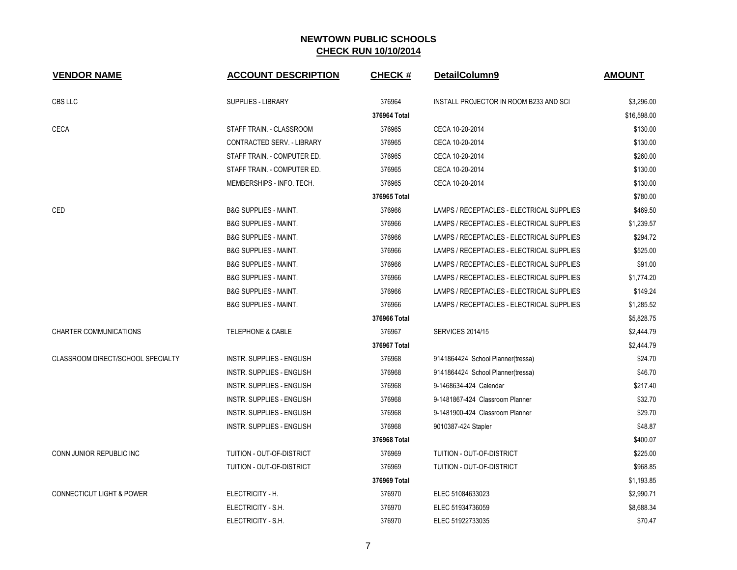| <b>VENDOR NAME</b>                   | <b>ACCOUNT DESCRIPTION</b>       | <b>CHECK#</b> | DetailColumn9                             | <b>AMOUNT</b> |
|--------------------------------------|----------------------------------|---------------|-------------------------------------------|---------------|
| CBS LLC                              | <b>SUPPLIES - LIBRARY</b>        | 376964        | INSTALL PROJECTOR IN ROOM B233 AND SCI    | \$3,296.00    |
|                                      |                                  | 376964 Total  |                                           | \$16,598.00   |
| <b>CECA</b>                          | STAFF TRAIN. - CLASSROOM         | 376965        | CECA 10-20-2014                           | \$130.00      |
|                                      | CONTRACTED SERV. - LIBRARY       | 376965        | CECA 10-20-2014                           | \$130.00      |
|                                      | STAFF TRAIN. - COMPUTER ED.      | 376965        | CECA 10-20-2014                           | \$260.00      |
|                                      | STAFF TRAIN. - COMPUTER ED.      | 376965        | CECA 10-20-2014                           | \$130.00      |
|                                      | MEMBERSHIPS - INFO. TECH.        | 376965        | CECA 10-20-2014                           | \$130.00      |
|                                      |                                  | 376965 Total  |                                           | \$780.00      |
| CED                                  | <b>B&amp;G SUPPLIES - MAINT.</b> | 376966        | LAMPS / RECEPTACLES - ELECTRICAL SUPPLIES | \$469.50      |
|                                      | <b>B&amp;G SUPPLIES - MAINT.</b> | 376966        | LAMPS / RECEPTACLES - ELECTRICAL SUPPLIES | \$1,239.57    |
|                                      | <b>B&amp;G SUPPLIES - MAINT.</b> | 376966        | LAMPS / RECEPTACLES - ELECTRICAL SUPPLIES | \$294.72      |
|                                      | <b>B&amp;G SUPPLIES - MAINT.</b> | 376966        | LAMPS / RECEPTACLES - ELECTRICAL SUPPLIES | \$525.00      |
|                                      | <b>B&amp;G SUPPLIES - MAINT.</b> | 376966        | LAMPS / RECEPTACLES - ELECTRICAL SUPPLIES | \$91.00       |
|                                      | <b>B&amp;G SUPPLIES - MAINT.</b> | 376966        | LAMPS / RECEPTACLES - ELECTRICAL SUPPLIES | \$1,774.20    |
|                                      | <b>B&amp;G SUPPLIES - MAINT.</b> | 376966        | LAMPS / RECEPTACLES - ELECTRICAL SUPPLIES | \$149.24      |
|                                      | <b>B&amp;G SUPPLIES - MAINT.</b> | 376966        | LAMPS / RECEPTACLES - ELECTRICAL SUPPLIES | \$1,285.52    |
|                                      |                                  | 376966 Total  |                                           | \$5,828.75    |
| <b>CHARTER COMMUNICATIONS</b>        | <b>TELEPHONE &amp; CABLE</b>     | 376967        | <b>SERVICES 2014/15</b>                   | \$2,444.79    |
|                                      |                                  | 376967 Total  |                                           | \$2,444.79    |
| CLASSROOM DIRECT/SCHOOL SPECIALTY    | <b>INSTR. SUPPLIES - ENGLISH</b> | 376968        | 9141864424 School Planner(tressa)         | \$24.70       |
|                                      | <b>INSTR. SUPPLIES - ENGLISH</b> | 376968        | 9141864424 School Planner(tressa)         | \$46.70       |
|                                      | <b>INSTR. SUPPLIES - ENGLISH</b> | 376968        | 9-1468634-424 Calendar                    | \$217.40      |
|                                      | <b>INSTR. SUPPLIES - ENGLISH</b> | 376968        | 9-1481867-424 Classroom Planner           | \$32.70       |
|                                      | <b>INSTR. SUPPLIES - ENGLISH</b> | 376968        | 9-1481900-424 Classroom Planner           | \$29.70       |
|                                      | <b>INSTR. SUPPLIES - ENGLISH</b> | 376968        | 9010387-424 Stapler                       | \$48.87       |
|                                      |                                  | 376968 Total  |                                           | \$400.07      |
| CONN JUNIOR REPUBLIC INC             | TUITION - OUT-OF-DISTRICT        | 376969        | TUITION - OUT-OF-DISTRICT                 | \$225.00      |
|                                      | TUITION - OUT-OF-DISTRICT        | 376969        | TUITION - OUT-OF-DISTRICT                 | \$968.85      |
|                                      |                                  | 376969 Total  |                                           | \$1,193.85    |
| <b>CONNECTICUT LIGHT &amp; POWER</b> | ELECTRICITY - H.                 | 376970        | ELEC 51084633023                          | \$2,990.71    |
|                                      | ELECTRICITY - S.H.               | 376970        | ELEC 51934736059                          | \$8,688.34    |
|                                      | ELECTRICITY - S.H.               | 376970        | ELEC 51922733035                          | \$70.47       |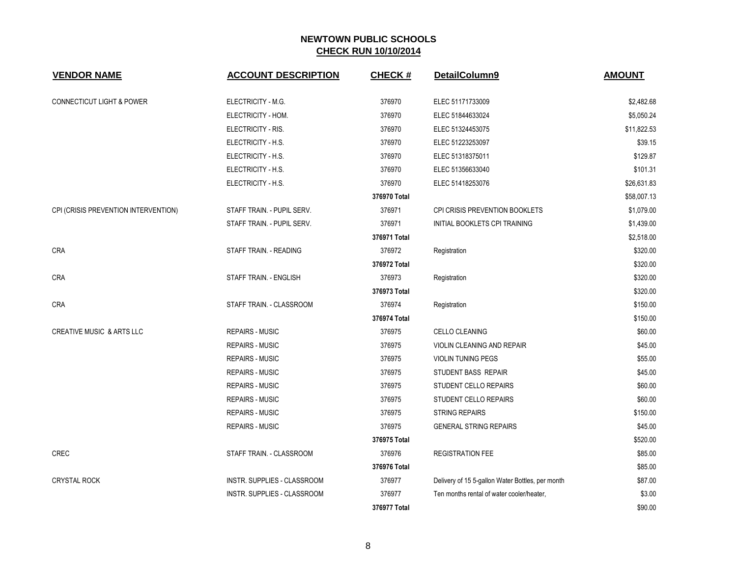| <b>VENDOR NAME</b>                   | <b>ACCOUNT DESCRIPTION</b>  | <b>CHECK#</b> | DetailColumn9                                    | <b>AMOUNT</b> |
|--------------------------------------|-----------------------------|---------------|--------------------------------------------------|---------------|
| <b>CONNECTICUT LIGHT &amp; POWER</b> | ELECTRICITY - M.G.          | 376970        | ELEC 51171733009                                 | \$2,482.68    |
|                                      | ELECTRICITY - HOM.          | 376970        | ELEC 51844633024                                 | \$5,050.24    |
|                                      | ELECTRICITY - RIS.          | 376970        | ELEC 51324453075                                 | \$11,822.53   |
|                                      | ELECTRICITY - H.S.          | 376970        | ELEC 51223253097                                 | \$39.15       |
|                                      | ELECTRICITY - H.S.          | 376970        | ELEC 51318375011                                 | \$129.87      |
|                                      | ELECTRICITY - H.S.          | 376970        | ELEC 51356633040                                 | \$101.31      |
|                                      | ELECTRICITY - H.S.          | 376970        | ELEC 51418253076                                 | \$26,631.83   |
|                                      |                             | 376970 Total  |                                                  | \$58,007.13   |
| CPI (CRISIS PREVENTION INTERVENTION) | STAFF TRAIN. - PUPIL SERV.  | 376971        | CPI CRISIS PREVENTION BOOKLETS                   | \$1,079.00    |
|                                      | STAFF TRAIN. - PUPIL SERV.  | 376971        | INITIAL BOOKLETS CPI TRAINING                    | \$1,439.00    |
|                                      |                             | 376971 Total  |                                                  | \$2,518.00    |
| <b>CRA</b>                           | STAFF TRAIN. - READING      | 376972        | Registration                                     | \$320.00      |
|                                      |                             | 376972 Total  |                                                  | \$320.00      |
| CRA                                  | STAFF TRAIN. - ENGLISH      | 376973        | Registration                                     | \$320.00      |
|                                      |                             | 376973 Total  |                                                  | \$320.00      |
| <b>CRA</b>                           | STAFF TRAIN. - CLASSROOM    | 376974        | Registration                                     | \$150.00      |
|                                      |                             | 376974 Total  |                                                  | \$150.00      |
| <b>CREATIVE MUSIC &amp; ARTS LLC</b> | <b>REPAIRS - MUSIC</b>      | 376975        | CELLO CLEANING                                   | \$60.00       |
|                                      | <b>REPAIRS - MUSIC</b>      | 376975        | <b>VIOLIN CLEANING AND REPAIR</b>                | \$45.00       |
|                                      | <b>REPAIRS - MUSIC</b>      | 376975        | <b>VIOLIN TUNING PEGS</b>                        | \$55.00       |
|                                      | <b>REPAIRS - MUSIC</b>      | 376975        | STUDENT BASS REPAIR                              | \$45.00       |
|                                      | <b>REPAIRS - MUSIC</b>      | 376975        | STUDENT CELLO REPAIRS                            | \$60.00       |
|                                      | <b>REPAIRS - MUSIC</b>      | 376975        | STUDENT CELLO REPAIRS                            | \$60.00       |
|                                      | <b>REPAIRS - MUSIC</b>      | 376975        | <b>STRING REPAIRS</b>                            | \$150.00      |
|                                      | <b>REPAIRS - MUSIC</b>      | 376975        | <b>GENERAL STRING REPAIRS</b>                    | \$45.00       |
|                                      |                             | 376975 Total  |                                                  | \$520.00      |
| <b>CREC</b>                          | STAFF TRAIN. - CLASSROOM    | 376976        | <b>REGISTRATION FEE</b>                          | \$85.00       |
|                                      |                             | 376976 Total  |                                                  | \$85.00       |
| <b>CRYSTAL ROCK</b>                  | INSTR. SUPPLIES - CLASSROOM | 376977        | Delivery of 15 5-gallon Water Bottles, per month | \$87.00       |
|                                      | INSTR. SUPPLIES - CLASSROOM | 376977        | Ten months rental of water cooler/heater,        | \$3.00        |
|                                      |                             | 376977 Total  |                                                  | \$90.00       |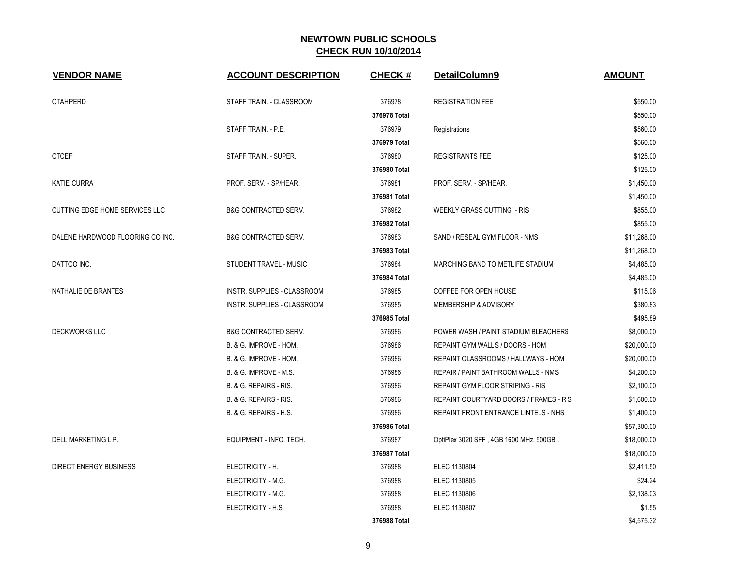| <b>VENDOR NAME</b>               | <b>ACCOUNT DESCRIPTION</b>      | <b>CHECK#</b> | DetailColumn9                               | <b>AMOUNT</b> |
|----------------------------------|---------------------------------|---------------|---------------------------------------------|---------------|
| <b>CTAHPERD</b>                  | STAFF TRAIN. - CLASSROOM        | 376978        | <b>REGISTRATION FEE</b>                     | \$550.00      |
|                                  |                                 | 376978 Total  |                                             | \$550.00      |
|                                  | STAFF TRAIN. - P.E.             | 376979        | Registrations                               | \$560.00      |
|                                  |                                 | 376979 Total  |                                             | \$560.00      |
| <b>CTCEF</b>                     | STAFF TRAIN. - SUPER.           | 376980        | <b>REGISTRANTS FEE</b>                      | \$125.00      |
|                                  |                                 | 376980 Total  |                                             | \$125.00      |
| <b>KATIE CURRA</b>               | PROF. SERV. - SP/HEAR.          | 376981        | PROF. SERV. - SP/HEAR.                      | \$1,450.00    |
|                                  |                                 | 376981 Total  |                                             | \$1,450.00    |
| CUTTING EDGE HOME SERVICES LLC   | <b>B&amp;G CONTRACTED SERV.</b> | 376982        | <b>WEEKLY GRASS CUTTING - RIS</b>           | \$855.00      |
|                                  |                                 | 376982 Total  |                                             | \$855.00      |
| DALENE HARDWOOD FLOORING CO INC. | <b>B&amp;G CONTRACTED SERV.</b> | 376983        | SAND / RESEAL GYM FLOOR - NMS               | \$11,268.00   |
|                                  |                                 | 376983 Total  |                                             | \$11,268.00   |
| DATTCO INC.                      | STUDENT TRAVEL - MUSIC          | 376984        | MARCHING BAND TO METLIFE STADIUM            | \$4,485.00    |
|                                  |                                 | 376984 Total  |                                             | \$4,485.00    |
| NATHALIE DE BRANTES              | INSTR. SUPPLIES - CLASSROOM     | 376985        | COFFEE FOR OPEN HOUSE                       | \$115.06      |
|                                  | INSTR. SUPPLIES - CLASSROOM     | 376985        | MEMBERSHIP & ADVISORY                       | \$380.83      |
|                                  |                                 | 376985 Total  |                                             | \$495.89      |
| <b>DECKWORKS LLC</b>             | <b>B&amp;G CONTRACTED SERV.</b> | 376986        | POWER WASH / PAINT STADIUM BLEACHERS        | \$8,000.00    |
|                                  | B. & G. IMPROVE - HOM.          | 376986        | REPAINT GYM WALLS / DOORS - HOM             | \$20,000.00   |
|                                  | B. & G. IMPROVE - HOM.          | 376986        | REPAINT CLASSROOMS / HALLWAYS - HOM         | \$20,000.00   |
|                                  | B. & G. IMPROVE - M.S.          | 376986        | REPAIR / PAINT BATHROOM WALLS - NMS         | \$4,200.00    |
|                                  | B. & G. REPAIRS - RIS.          | 376986        | <b>REPAINT GYM FLOOR STRIPING - RIS</b>     | \$2,100.00    |
|                                  | B. & G. REPAIRS - RIS.          | 376986        | REPAINT COURTYARD DOORS / FRAMES - RIS      | \$1,600.00    |
|                                  | B. & G. REPAIRS - H.S.          | 376986        | <b>REPAINT FRONT ENTRANCE LINTELS - NHS</b> | \$1,400.00    |
|                                  |                                 | 376986 Total  |                                             | \$57,300.00   |
| DELL MARKETING L.P.              | EQUIPMENT - INFO. TECH.         | 376987        | OptiPlex 3020 SFF, 4GB 1600 MHz, 500GB.     | \$18,000.00   |
|                                  |                                 | 376987 Total  |                                             | \$18,000.00   |
| <b>DIRECT ENERGY BUSINESS</b>    | ELECTRICITY - H.                | 376988        | ELEC 1130804                                | \$2,411.50    |
|                                  | ELECTRICITY - M.G.              | 376988        | ELEC 1130805                                | \$24.24       |
|                                  | ELECTRICITY - M.G.              | 376988        | ELEC 1130806                                | \$2,138.03    |
|                                  | ELECTRICITY - H.S.              | 376988        | ELEC 1130807                                | \$1.55        |
|                                  |                                 | 376988 Total  |                                             | \$4,575.32    |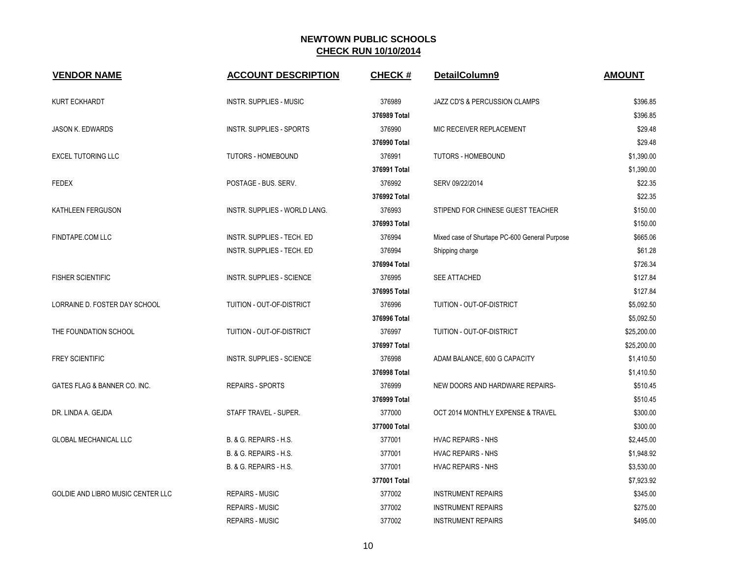| <b>VENDOR NAME</b>                       | <b>ACCOUNT DESCRIPTION</b>        | <b>CHECK#</b> | DetailColumn9                                 | <b>AMOUNT</b> |
|------------------------------------------|-----------------------------------|---------------|-----------------------------------------------|---------------|
| <b>KURT ECKHARDT</b>                     | <b>INSTR. SUPPLIES - MUSIC</b>    | 376989        | JAZZ CD'S & PERCUSSION CLAMPS                 | \$396.85      |
|                                          |                                   | 376989 Total  |                                               | \$396.85      |
| JASON K. EDWARDS                         | INSTR. SUPPLIES - SPORTS          | 376990        | MIC RECEIVER REPLACEMENT                      | \$29.48       |
|                                          |                                   | 376990 Total  |                                               | \$29.48       |
| <b>EXCEL TUTORING LLC</b>                | <b>TUTORS - HOMEBOUND</b>         | 376991        | <b>TUTORS - HOMEBOUND</b>                     | \$1,390.00    |
|                                          |                                   | 376991 Total  |                                               | \$1,390.00    |
| FEDEX                                    | POSTAGE - BUS. SERV.              | 376992        | SERV 09/22/2014                               | \$22.35       |
|                                          |                                   | 376992 Total  |                                               | \$22.35       |
| KATHLEEN FERGUSON                        | INSTR. SUPPLIES - WORLD LANG.     | 376993        | STIPEND FOR CHINESE GUEST TEACHER             | \$150.00      |
|                                          |                                   | 376993 Total  |                                               | \$150.00      |
| FINDTAPE.COM LLC                         | INSTR. SUPPLIES - TECH. ED        | 376994        | Mixed case of Shurtape PC-600 General Purpose | \$665.06      |
|                                          | <b>INSTR. SUPPLIES - TECH. ED</b> | 376994        | Shipping charge                               | \$61.28       |
|                                          |                                   | 376994 Total  |                                               | \$726.34      |
| <b>FISHER SCIENTIFIC</b>                 | INSTR. SUPPLIES - SCIENCE         | 376995        | SEE ATTACHED                                  | \$127.84      |
|                                          |                                   | 376995 Total  |                                               | \$127.84      |
| LORRAINE D. FOSTER DAY SCHOOL            | TUITION - OUT-OF-DISTRICT         | 376996        | TUITION - OUT-OF-DISTRICT                     | \$5,092.50    |
|                                          |                                   | 376996 Total  |                                               | \$5,092.50    |
| THE FOUNDATION SCHOOL                    | <b>TUITION - OUT-OF-DISTRICT</b>  | 376997        | TUITION - OUT-OF-DISTRICT                     | \$25,200.00   |
|                                          |                                   | 376997 Total  |                                               | \$25,200.00   |
| <b>FREY SCIENTIFIC</b>                   | INSTR. SUPPLIES - SCIENCE         | 376998        | ADAM BALANCE, 600 G CAPACITY                  | \$1,410.50    |
|                                          |                                   | 376998 Total  |                                               | \$1,410.50    |
| GATES FLAG & BANNER CO. INC.             | <b>REPAIRS - SPORTS</b>           | 376999        | NEW DOORS AND HARDWARE REPAIRS-               | \$510.45      |
|                                          |                                   | 376999 Total  |                                               | \$510.45      |
| DR. LINDA A. GEJDA                       | STAFF TRAVEL - SUPER.             | 377000        | OCT 2014 MONTHLY EXPENSE & TRAVEL             | \$300.00      |
|                                          |                                   | 377000 Total  |                                               | \$300.00      |
| GLOBAL MECHANICAL LLC                    | B. & G. REPAIRS - H.S.            | 377001        | <b>HVAC REPAIRS - NHS</b>                     | \$2,445.00    |
|                                          | B. & G. REPAIRS - H.S.            | 377001        | <b>HVAC REPAIRS - NHS</b>                     | \$1,948.92    |
|                                          | B. & G. REPAIRS - H.S.            | 377001        | <b>HVAC REPAIRS - NHS</b>                     | \$3,530.00    |
|                                          |                                   | 377001 Total  |                                               | \$7,923.92    |
| <b>GOLDIE AND LIBRO MUSIC CENTER LLC</b> | <b>REPAIRS - MUSIC</b>            | 377002        | <b>INSTRUMENT REPAIRS</b>                     | \$345.00      |
|                                          | <b>REPAIRS - MUSIC</b>            | 377002        | <b>INSTRUMENT REPAIRS</b>                     | \$275.00      |
|                                          | <b>REPAIRS - MUSIC</b>            | 377002        | <b>INSTRUMENT REPAIRS</b>                     | \$495.00      |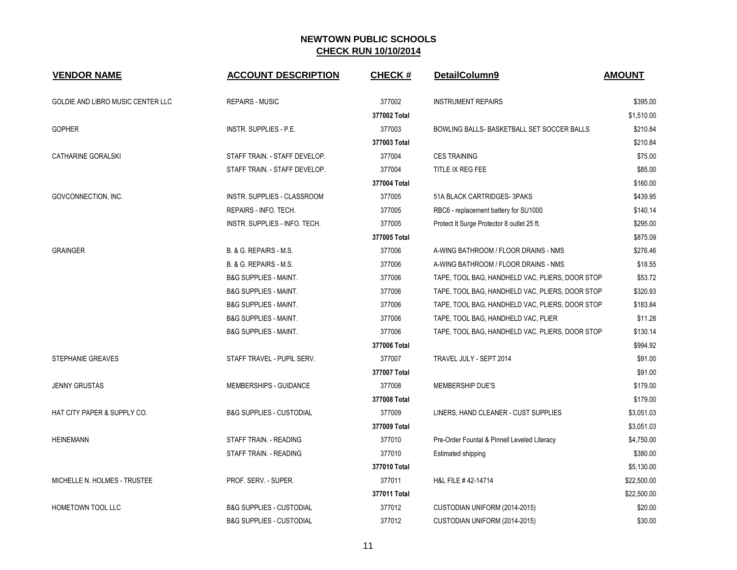| <b>VENDOR NAME</b>                | <b>ACCOUNT DESCRIPTION</b>          | <b>CHECK#</b> | DetailColumn9                                   | <b>AMOUNT</b> |
|-----------------------------------|-------------------------------------|---------------|-------------------------------------------------|---------------|
| GOLDIE AND LIBRO MUSIC CENTER LLC | <b>REPAIRS - MUSIC</b>              | 377002        | <b>INSTRUMENT REPAIRS</b>                       | \$395.00      |
|                                   |                                     | 377002 Total  |                                                 | \$1,510.00    |
| <b>GOPHER</b>                     | <b>INSTR. SUPPLIES - P.E.</b>       | 377003        | BOWLING BALLS- BASKETBALL SET SOCCER BALLS      | \$210.84      |
|                                   |                                     | 377003 Total  |                                                 | \$210.84      |
| <b>CATHARINE GORALSKI</b>         | STAFF TRAIN. - STAFF DEVELOP.       | 377004        | <b>CES TRAINING</b>                             | \$75.00       |
|                                   | STAFF TRAIN. - STAFF DEVELOP.       | 377004        | TITLE IX REG FEE                                | \$85.00       |
|                                   |                                     | 377004 Total  |                                                 | \$160.00      |
| GOVCONNECTION, INC.               | INSTR. SUPPLIES - CLASSROOM         | 377005        | 51A BLACK CARTRIDGES-3PAKS                      | \$439.95      |
|                                   | REPAIRS - INFO. TECH.               | 377005        | RBC6 - replacement battery for SU1000           | \$140.14      |
|                                   | INSTR. SUPPLIES - INFO. TECH.       | 377005        | Protect It Surge Protector 8 outlet 25 ft.      | \$295.00      |
|                                   |                                     | 377005 Total  |                                                 | \$875.09      |
| <b>GRAINGER</b>                   | B. & G. REPAIRS - M.S.              | 377006        | A-WING BATHROOM / FLOOR DRAINS - NMS            | \$276.46      |
|                                   | B. & G. REPAIRS - M.S.              | 377006        | A-WING BATHROOM / FLOOR DRAINS - NMS            | \$18.55       |
|                                   | <b>B&amp;G SUPPLIES - MAINT.</b>    | 377006        | TAPE, TOOL BAG, HANDHELD VAC, PLIERS, DOOR STOP | \$53.72       |
|                                   | <b>B&amp;G SUPPLIES - MAINT.</b>    | 377006        | TAPE, TOOL BAG, HANDHELD VAC, PLIERS, DOOR STOP | \$320.93      |
|                                   | <b>B&amp;G SUPPLIES - MAINT.</b>    | 377006        | TAPE, TOOL BAG, HANDHELD VAC, PLIERS, DOOR STOP | \$183.84      |
|                                   | <b>B&amp;G SUPPLIES - MAINT.</b>    | 377006        | TAPE, TOOL BAG, HANDHELD VAC, PLIER             | \$11.28       |
|                                   | <b>B&amp;G SUPPLIES - MAINT.</b>    | 377006        | TAPE, TOOL BAG, HANDHELD VAC, PLIERS, DOOR STOP | \$130.14      |
|                                   |                                     | 377006 Total  |                                                 | \$994.92      |
| STEPHANIE GREAVES                 | STAFF TRAVEL - PUPIL SERV.          | 377007        | TRAVEL JULY - SEPT 2014                         | \$91.00       |
|                                   |                                     | 377007 Total  |                                                 | \$91.00       |
| <b>JENNY GRUSTAS</b>              | MEMBERSHIPS - GUIDANCE              | 377008        | MEMBERSHIP DUE'S                                | \$179.00      |
|                                   |                                     | 377008 Total  |                                                 | \$179.00      |
| HAT CITY PAPER & SUPPLY CO.       | <b>B&amp;G SUPPLIES - CUSTODIAL</b> | 377009        | LINERS, HAND CLEANER - CUST SUPPLIES            | \$3,051.03    |
|                                   |                                     | 377009 Total  |                                                 | \$3,051.03    |
| <b>HEINEMANN</b>                  | STAFF TRAIN. - READING              | 377010        | Pre-Order Fountal & Pinnell Leveled Literacy    | \$4,750.00    |
|                                   | STAFF TRAIN. - READING              | 377010        | Estimated shipping                              | \$380.00      |
|                                   |                                     | 377010 Total  |                                                 | \$5,130.00    |
| MICHELLE N. HOLMES - TRUSTEE      | PROF. SERV. - SUPER.                | 377011        | H&L FILE #42-14714                              | \$22,500.00   |
|                                   |                                     | 377011 Total  |                                                 | \$22,500.00   |
| HOMETOWN TOOL LLC                 | <b>B&amp;G SUPPLIES - CUSTODIAL</b> | 377012        | CUSTODIAN UNIFORM (2014-2015)                   | \$20.00       |
|                                   | <b>B&amp;G SUPPLIES - CUSTODIAL</b> | 377012        | CUSTODIAN UNIFORM (2014-2015)                   | \$30.00       |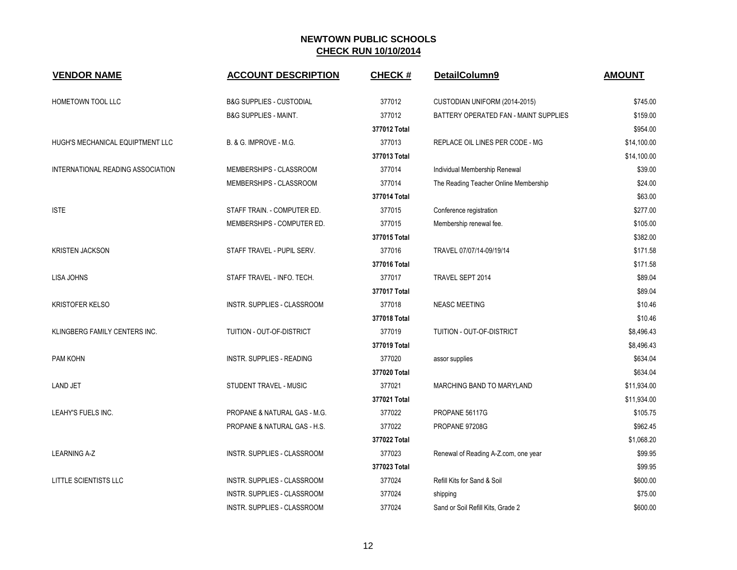| <b>VENDOR NAME</b>                | <b>ACCOUNT DESCRIPTION</b>          | <b>CHECK#</b> | DetailColumn9                         | <b>AMOUNT</b> |
|-----------------------------------|-------------------------------------|---------------|---------------------------------------|---------------|
| HOMETOWN TOOL LLC                 | <b>B&amp;G SUPPLIES - CUSTODIAL</b> | 377012        | CUSTODIAN UNIFORM (2014-2015)         | \$745.00      |
|                                   | <b>B&amp;G SUPPLIES - MAINT.</b>    | 377012        | BATTERY OPERATED FAN - MAINT SUPPLIES | \$159.00      |
|                                   |                                     | 377012 Total  |                                       | \$954.00      |
| HUGH'S MECHANICAL EQUIPTMENT LLC  | B. & G. IMPROVE - M.G.              | 377013        | REPLACE OIL LINES PER CODE - MG       | \$14,100.00   |
|                                   |                                     | 377013 Total  |                                       | \$14,100.00   |
| INTERNATIONAL READING ASSOCIATION | MEMBERSHIPS - CLASSROOM             | 377014        | Individual Membership Renewal         | \$39.00       |
|                                   | MEMBERSHIPS - CLASSROOM             | 377014        | The Reading Teacher Online Membership | \$24.00       |
|                                   |                                     | 377014 Total  |                                       | \$63.00       |
| <b>ISTE</b>                       | STAFF TRAIN. - COMPUTER ED.         | 377015        | Conference registration               | \$277.00      |
|                                   | MEMBERSHIPS - COMPUTER ED.          | 377015        | Membership renewal fee.               | \$105.00      |
|                                   |                                     | 377015 Total  |                                       | \$382.00      |
| <b>KRISTEN JACKSON</b>            | STAFF TRAVEL - PUPIL SERV.          | 377016        | TRAVEL 07/07/14-09/19/14              | \$171.58      |
|                                   |                                     | 377016 Total  |                                       | \$171.58      |
| LISA JOHNS                        | STAFF TRAVEL - INFO. TECH.          | 377017        | TRAVEL SEPT 2014                      | \$89.04       |
|                                   |                                     | 377017 Total  |                                       | \$89.04       |
| <b>KRISTOFER KELSO</b>            | <b>INSTR. SUPPLIES - CLASSROOM</b>  | 377018        | <b>NEASC MEETING</b>                  | \$10.46       |
|                                   |                                     | 377018 Total  |                                       | \$10.46       |
| KLINGBERG FAMILY CENTERS INC.     | TUITION - OUT-OF-DISTRICT           | 377019        | TUITION - OUT-OF-DISTRICT             | \$8,496.43    |
|                                   |                                     | 377019 Total  |                                       | \$8,496.43    |
| PAM KOHN                          | INSTR. SUPPLIES - READING           | 377020        | assor supplies                        | \$634.04      |
|                                   |                                     | 377020 Total  |                                       | \$634.04      |
| <b>LAND JET</b>                   | STUDENT TRAVEL - MUSIC              | 377021        | <b>MARCHING BAND TO MARYLAND</b>      | \$11.934.00   |
|                                   |                                     | 377021 Total  |                                       | \$11,934.00   |
| LEAHY'S FUELS INC.                | PROPANE & NATURAL GAS - M.G.        | 377022        | PROPANE 56117G                        | \$105.75      |
|                                   | PROPANE & NATURAL GAS - H.S.        | 377022        | PROPANE 97208G                        | \$962.45      |
|                                   |                                     | 377022 Total  |                                       | \$1,068.20    |
| <b>LEARNING A-Z</b>               | INSTR. SUPPLIES - CLASSROOM         | 377023        | Renewal of Reading A-Z.com, one year  | \$99.95       |
|                                   |                                     | 377023 Total  |                                       | \$99.95       |
| LITTLE SCIENTISTS LLC             | INSTR. SUPPLIES - CLASSROOM         | 377024        | Refill Kits for Sand & Soil           | \$600.00      |
|                                   | INSTR. SUPPLIES - CLASSROOM         | 377024        | shipping                              | \$75.00       |
|                                   | INSTR. SUPPLIES - CLASSROOM         | 377024        | Sand or Soil Refill Kits, Grade 2     | \$600.00      |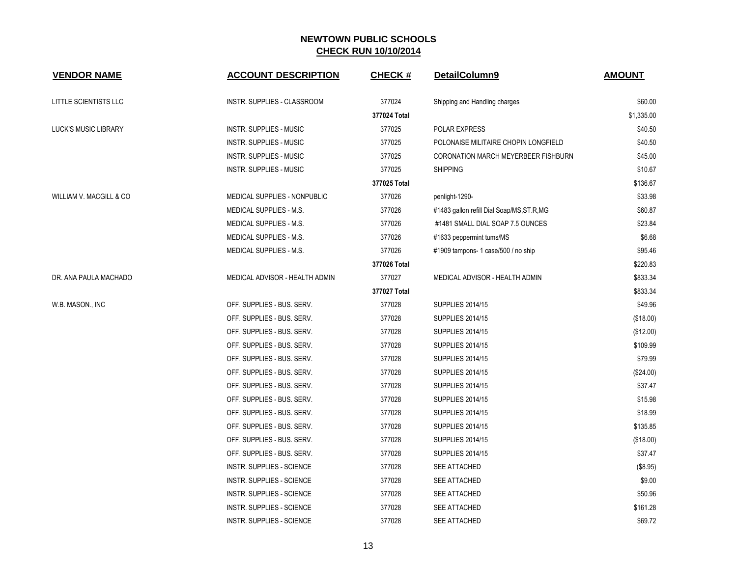| <b>VENDOR NAME</b>      | <b>ACCOUNT DESCRIPTION</b>       | <b>CHECK#</b> | DetailColumn9                              | <b>AMOUNT</b> |
|-------------------------|----------------------------------|---------------|--------------------------------------------|---------------|
| LITTLE SCIENTISTS LLC   | INSTR. SUPPLIES - CLASSROOM      | 377024        | Shipping and Handling charges              | \$60.00       |
|                         |                                  | 377024 Total  |                                            | \$1,335.00    |
| LUCK'S MUSIC LIBRARY    | INSTR. SUPPLIES - MUSIC          | 377025        | POLAR EXPRESS                              | \$40.50       |
|                         | <b>INSTR. SUPPLIES - MUSIC</b>   | 377025        | POLONAISE MILITAIRE CHOPIN LONGFIELD       | \$40.50       |
|                         | <b>INSTR. SUPPLIES - MUSIC</b>   | 377025        | CORONATION MARCH MEYERBEER FISHBURN        | \$45.00       |
|                         | INSTR. SUPPLIES - MUSIC          | 377025        | <b>SHIPPING</b>                            | \$10.67       |
|                         |                                  | 377025 Total  |                                            | \$136.67      |
| WILLIAM V. MACGILL & CO | MEDICAL SUPPLIES - NONPUBLIC     | 377026        | penlight-1290-                             | \$33.98       |
|                         | MEDICAL SUPPLIES - M.S.          | 377026        | #1483 gallon refill Dial Soap/MS, ST.R, MG | \$60.87       |
|                         | MEDICAL SUPPLIES - M.S.          | 377026        | #1481 SMALL DIAL SOAP 7.5 OUNCES           | \$23.84       |
|                         | MEDICAL SUPPLIES - M.S.          | 377026        | #1633 peppermint tums/MS                   | \$6.68        |
|                         | MEDICAL SUPPLIES - M.S.          | 377026        | #1909 tampons- 1 case/500 / no ship        | \$95.46       |
|                         |                                  | 377026 Total  |                                            | \$220.83      |
| DR. ANA PAULA MACHADO   | MEDICAL ADVISOR - HEALTH ADMIN   | 377027        | MEDICAL ADVISOR - HEALTH ADMIN             | \$833.34      |
|                         |                                  | 377027 Total  |                                            | \$833.34      |
| W.B. MASON., INC        | OFF. SUPPLIES - BUS. SERV.       | 377028        | <b>SUPPLIES 2014/15</b>                    | \$49.96       |
|                         | OFF. SUPPLIES - BUS. SERV.       | 377028        | <b>SUPPLIES 2014/15</b>                    | (\$18.00)     |
|                         | OFF. SUPPLIES - BUS. SERV.       | 377028        | <b>SUPPLIES 2014/15</b>                    | (\$12.00)     |
|                         | OFF. SUPPLIES - BUS. SERV.       | 377028        | <b>SUPPLIES 2014/15</b>                    | \$109.99      |
|                         | OFF. SUPPLIES - BUS. SERV.       | 377028        | <b>SUPPLIES 2014/15</b>                    | \$79.99       |
|                         | OFF. SUPPLIES - BUS. SERV.       | 377028        | <b>SUPPLIES 2014/15</b>                    | (\$24.00)     |
|                         | OFF. SUPPLIES - BUS. SERV.       | 377028        | <b>SUPPLIES 2014/15</b>                    | \$37.47       |
|                         | OFF. SUPPLIES - BUS. SERV.       | 377028        | <b>SUPPLIES 2014/15</b>                    | \$15.98       |
|                         | OFF. SUPPLIES - BUS. SERV.       | 377028        | <b>SUPPLIES 2014/15</b>                    | \$18.99       |
|                         | OFF. SUPPLIES - BUS. SERV.       | 377028        | <b>SUPPLIES 2014/15</b>                    | \$135.85      |
|                         | OFF. SUPPLIES - BUS. SERV.       | 377028        | <b>SUPPLIES 2014/15</b>                    | (\$18.00)     |
|                         | OFF. SUPPLIES - BUS. SERV.       | 377028        | <b>SUPPLIES 2014/15</b>                    | \$37.47       |
|                         | <b>INSTR. SUPPLIES - SCIENCE</b> | 377028        | SEE ATTACHED                               | (\$8.95)      |
|                         | <b>INSTR. SUPPLIES - SCIENCE</b> | 377028        | SEE ATTACHED                               | \$9.00        |
|                         | <b>INSTR. SUPPLIES - SCIENCE</b> | 377028        | SEE ATTACHED                               | \$50.96       |
|                         | <b>INSTR. SUPPLIES - SCIENCE</b> | 377028        | <b>SEE ATTACHED</b>                        | \$161.28      |
|                         | INSTR. SUPPLIES - SCIENCE        | 377028        | SEE ATTACHED                               | \$69.72       |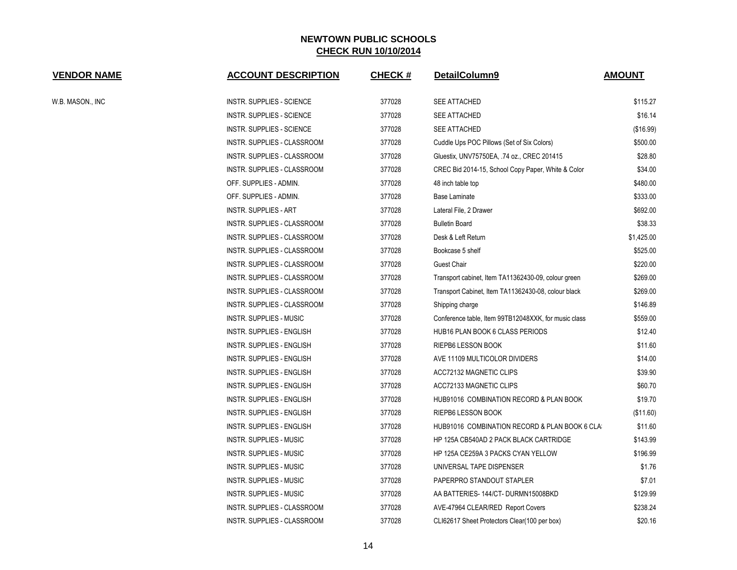| <b>VENDOR NAME</b> | <b>ACCOUNT DESCRIPTION</b>         | <b>CHECK#</b> | DetailColumn9                                        | <b>AMOUNT</b> |
|--------------------|------------------------------------|---------------|------------------------------------------------------|---------------|
| W.B. MASON., INC   | INSTR. SUPPLIES - SCIENCE          | 377028        | SEE ATTACHED                                         | \$115.27      |
|                    | <b>INSTR. SUPPLIES - SCIENCE</b>   | 377028        | <b>SEE ATTACHED</b>                                  | \$16.14       |
|                    | INSTR. SUPPLIES - SCIENCE          | 377028        | SEE ATTACHED                                         | (\$16.99)     |
|                    | INSTR. SUPPLIES - CLASSROOM        | 377028        | Cuddle Ups POC Pillows (Set of Six Colors)           | \$500.00      |
|                    | INSTR. SUPPLIES - CLASSROOM        | 377028        | Gluestix, UNV75750EA, .74 oz., CREC 201415           | \$28.80       |
|                    | INSTR. SUPPLIES - CLASSROOM        | 377028        | CREC Bid 2014-15, School Copy Paper, White & Color   | \$34.00       |
|                    | OFF. SUPPLIES - ADMIN.             | 377028        | 48 inch table top                                    | \$480.00      |
|                    | OFF. SUPPLIES - ADMIN.             | 377028        | Base Laminate                                        | \$333.00      |
|                    | <b>INSTR. SUPPLIES - ART</b>       | 377028        | Lateral File, 2 Drawer                               | \$692.00      |
|                    | INSTR. SUPPLIES - CLASSROOM        | 377028        | <b>Bulletin Board</b>                                | \$38.33       |
|                    | INSTR. SUPPLIES - CLASSROOM        | 377028        | Desk & Left Return                                   | \$1,425.00    |
|                    | INSTR. SUPPLIES - CLASSROOM        | 377028        | Bookcase 5 shelf                                     | \$525.00      |
|                    | INSTR. SUPPLIES - CLASSROOM        | 377028        | Guest Chair                                          | \$220.00      |
|                    | INSTR. SUPPLIES - CLASSROOM        | 377028        | Transport cabinet, Item TA11362430-09, colour green  | \$269.00      |
|                    | INSTR. SUPPLIES - CLASSROOM        | 377028        | Transport Cabinet, Item TA11362430-08, colour black  | \$269.00      |
|                    | INSTR. SUPPLIES - CLASSROOM        | 377028        | Shipping charge                                      | \$146.89      |
|                    | INSTR. SUPPLIES - MUSIC            | 377028        | Conference table, Item 99TB12048XXK, for music class | \$559.00      |
|                    | INSTR. SUPPLIES - ENGLISH          | 377028        | HUB16 PLAN BOOK 6 CLASS PERIODS                      | \$12.40       |
|                    | INSTR. SUPPLIES - ENGLISH          | 377028        | RIEPB6 LESSON BOOK                                   | \$11.60       |
|                    | INSTR. SUPPLIES - ENGLISH          | 377028        | AVE 11109 MULTICOLOR DIVIDERS                        | \$14.00       |
|                    | <b>INSTR. SUPPLIES - ENGLISH</b>   | 377028        | ACC72132 MAGNETIC CLIPS                              | \$39.90       |
|                    | INSTR. SUPPLIES - ENGLISH          | 377028        | ACC72133 MAGNETIC CLIPS                              | \$60.70       |
|                    | INSTR. SUPPLIES - ENGLISH          | 377028        | HUB91016 COMBINATION RECORD & PLAN BOOK              | \$19.70       |
|                    | <b>INSTR. SUPPLIES - ENGLISH</b>   | 377028        | RIEPB6 LESSON BOOK                                   | (\$11.60)     |
|                    | INSTR. SUPPLIES - ENGLISH          | 377028        | HUB91016 COMBINATION RECORD & PLAN BOOK 6 CLA        | \$11.60       |
|                    | INSTR. SUPPLIES - MUSIC            | 377028        | HP 125A CB540AD 2 PACK BLACK CARTRIDGE               | \$143.99      |
|                    | INSTR. SUPPLIES - MUSIC            | 377028        | HP 125A CE259A 3 PACKS CYAN YELLOW                   | \$196.99      |
|                    | INSTR. SUPPLIES - MUSIC            | 377028        | UNIVERSAL TAPE DISPENSER                             | \$1.76        |
|                    | INSTR. SUPPLIES - MUSIC            | 377028        | PAPERPRO STANDOUT STAPLER                            | \$7.01        |
|                    | INSTR. SUPPLIES - MUSIC            | 377028        | AA BATTERIES- 144/CT- DURMN15008BKD                  | \$129.99      |
|                    | <b>INSTR. SUPPLIES - CLASSROOM</b> | 377028        | AVE-47964 CLEAR/RED Report Covers                    | \$238.24      |
|                    | INSTR. SUPPLIES - CLASSROOM        | 377028        | CLI62617 Sheet Protectors Clear (100 per box)        | \$20.16       |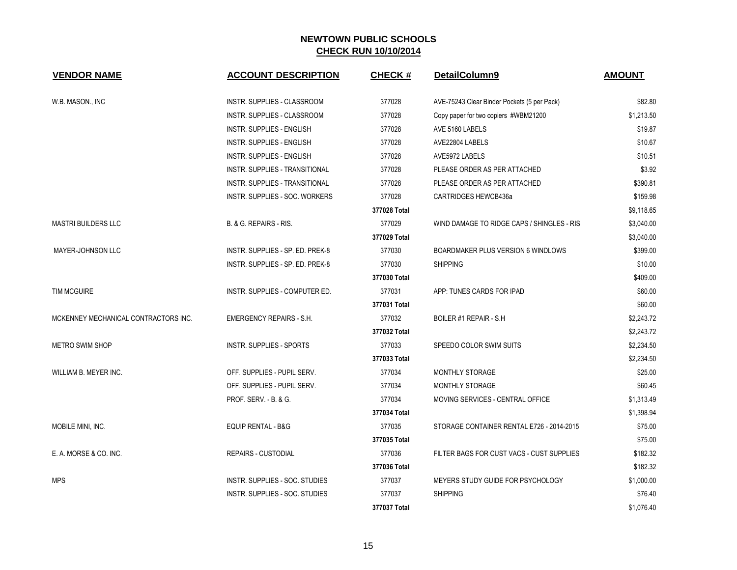| <b>VENDOR NAME</b>                   | <b>ACCOUNT DESCRIPTION</b>       | <b>CHECK#</b> | DetailColumn9                               | <b>AMOUNT</b> |
|--------------------------------------|----------------------------------|---------------|---------------------------------------------|---------------|
| W.B. MASON., INC                     | INSTR. SUPPLIES - CLASSROOM      | 377028        | AVE-75243 Clear Binder Pockets (5 per Pack) | \$82.80       |
|                                      | INSTR. SUPPLIES - CLASSROOM      | 377028        | Copy paper for two copiers #WBM21200        | \$1,213.50    |
|                                      | <b>INSTR. SUPPLIES - ENGLISH</b> | 377028        | AVE 5160 LABELS                             | \$19.87       |
|                                      | <b>INSTR. SUPPLIES - ENGLISH</b> | 377028        | AVE22804 LABELS                             | \$10.67       |
|                                      | <b>INSTR. SUPPLIES - ENGLISH</b> | 377028        | AVE5972 LABELS                              | \$10.51       |
|                                      | INSTR. SUPPLIES - TRANSITIONAL   | 377028        | PLEASE ORDER AS PER ATTACHED                | \$3.92        |
|                                      | INSTR. SUPPLIES - TRANSITIONAL   | 377028        | PLEASE ORDER AS PER ATTACHED                | \$390.81      |
|                                      | INSTR. SUPPLIES - SOC. WORKERS   | 377028        | <b>CARTRIDGES HEWCB436a</b>                 | \$159.98      |
|                                      |                                  | 377028 Total  |                                             | \$9,118.65    |
| <b>MASTRI BUILDERS LLC</b>           | B. & G. REPAIRS - RIS.           | 377029        | WIND DAMAGE TO RIDGE CAPS / SHINGLES - RIS  | \$3,040.00    |
|                                      |                                  | 377029 Total  |                                             | \$3,040.00    |
| MAYER-JOHNSON LLC                    | INSTR. SUPPLIES - SP. ED. PREK-8 | 377030        | BOARDMAKER PLUS VERSION 6 WINDLOWS          | \$399.00      |
|                                      | INSTR. SUPPLIES - SP. ED. PREK-8 | 377030        | <b>SHIPPING</b>                             | \$10.00       |
|                                      |                                  | 377030 Total  |                                             | \$409.00      |
| <b>TIM MCGUIRE</b>                   | INSTR. SUPPLIES - COMPUTER ED.   | 377031        | APP: TUNES CARDS FOR IPAD                   | \$60.00       |
|                                      |                                  | 377031 Total  |                                             | \$60.00       |
| MCKENNEY MECHANICAL CONTRACTORS INC. | EMERGENCY REPAIRS - S.H.         | 377032        | BOILER #1 REPAIR - S.H                      | \$2,243.72    |
|                                      |                                  | 377032 Total  |                                             | \$2,243.72    |
| METRO SWIM SHOP                      | INSTR. SUPPLIES - SPORTS         | 377033        | SPEEDO COLOR SWIM SUITS                     | \$2,234.50    |
|                                      |                                  | 377033 Total  |                                             | \$2,234.50    |
| WILLIAM B. MEYER INC.                | OFF. SUPPLIES - PUPIL SERV.      | 377034        | MONTHLY STORAGE                             | \$25.00       |
|                                      | OFF. SUPPLIES - PUPIL SERV.      | 377034        | MONTHLY STORAGE                             | \$60.45       |
|                                      | PROF. SERV. - B. & G.            | 377034        | MOVING SERVICES - CENTRAL OFFICE            | \$1,313.49    |
|                                      |                                  | 377034 Total  |                                             | \$1,398.94    |
| MOBILE MINI, INC.                    | <b>EQUIP RENTAL - B&amp;G</b>    | 377035        | STORAGE CONTAINER RENTAL E726 - 2014-2015   | \$75.00       |
|                                      |                                  | 377035 Total  |                                             | \$75.00       |
| E. A. MORSE & CO. INC.               | <b>REPAIRS - CUSTODIAL</b>       | 377036        | FILTER BAGS FOR CUST VACS - CUST SUPPLIES   | \$182.32      |
|                                      |                                  | 377036 Total  |                                             | \$182.32      |
| <b>MPS</b>                           | INSTR. SUPPLIES - SOC. STUDIES   | 377037        | MEYERS STUDY GUIDE FOR PSYCHOLOGY           | \$1,000.00    |
|                                      | INSTR. SUPPLIES - SOC. STUDIES   | 377037        | <b>SHIPPING</b>                             | \$76.40       |
|                                      |                                  | 377037 Total  |                                             | \$1,076.40    |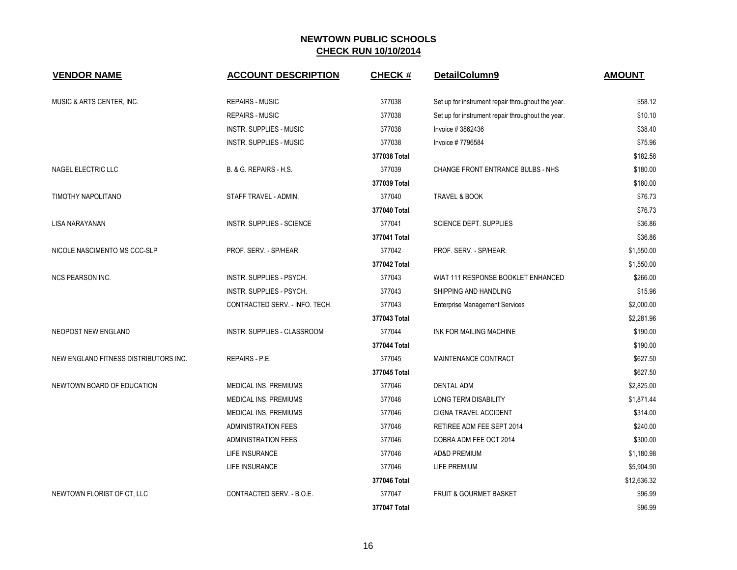| <b>VENDOR NAME</b>                    | <b>ACCOUNT DESCRIPTION</b>       | <b>CHECK#</b> | DetailColumn9                                     | <b>AMOUNT</b> |
|---------------------------------------|----------------------------------|---------------|---------------------------------------------------|---------------|
| MUSIC & ARTS CENTER, INC.             | <b>REPAIRS - MUSIC</b>           | 377038        | Set up for instrument repair throughout the year. | \$58.12       |
|                                       | <b>REPAIRS - MUSIC</b>           | 377038        | Set up for instrument repair throughout the year. | \$10.10       |
|                                       | <b>INSTR. SUPPLIES - MUSIC</b>   | 377038        | Invoice #3862436                                  | \$38.40       |
|                                       | <b>INSTR. SUPPLIES - MUSIC</b>   | 377038        | Invoice #7796584                                  | \$75.96       |
|                                       |                                  | 377038 Total  |                                                   | \$182.58      |
| NAGEL ELECTRIC LLC                    | B. & G. REPAIRS - H.S.           | 377039        | CHANGE FRONT ENTRANCE BULBS - NHS                 | \$180.00      |
|                                       |                                  | 377039 Total  |                                                   | \$180.00      |
| TIMOTHY NAPOLITANO                    | STAFF TRAVEL - ADMIN.            | 377040        | TRAVEL & BOOK                                     | \$76.73       |
|                                       |                                  | 377040 Total  |                                                   | \$76.73       |
| <b>LISA NARAYANAN</b>                 | <b>INSTR. SUPPLIES - SCIENCE</b> | 377041        | <b>SCIENCE DEPT. SUPPLIES</b>                     | \$36.86       |
|                                       |                                  | 377041 Total  |                                                   | \$36.86       |
| NICOLE NASCIMENTO MS CCC-SLP          | PROF. SERV. - SP/HEAR.           | 377042        | PROF. SERV. - SP/HEAR.                            | \$1,550.00    |
|                                       |                                  | 377042 Total  |                                                   | \$1,550.00    |
| <b>NCS PEARSON INC.</b>               | INSTR. SUPPLIES - PSYCH.         | 377043        | WIAT 111 RESPONSE BOOKLET ENHANCED                | \$266.00      |
|                                       | INSTR. SUPPLIES - PSYCH.         | 377043        | SHIPPING AND HANDLING                             | \$15.96       |
|                                       | CONTRACTED SERV. - INFO. TECH.   | 377043        | <b>Enterprise Management Services</b>             | \$2,000.00    |
|                                       |                                  | 377043 Total  |                                                   | \$2,281.96    |
| NEOPOST NEW ENGLAND                   | INSTR. SUPPLIES - CLASSROOM      | 377044        | INK FOR MAILING MACHINE                           | \$190.00      |
|                                       |                                  | 377044 Total  |                                                   | \$190.00      |
| NEW ENGLAND FITNESS DISTRIBUTORS INC. | <b>REPAIRS - P.E.</b>            | 377045        | MAINTENANCE CONTRACT                              | \$627.50      |
|                                       |                                  | 377045 Total  |                                                   | \$627.50      |
| NEWTOWN BOARD OF EDUCATION            | <b>MEDICAL INS. PREMIUMS</b>     | 377046        | <b>DENTAL ADM</b>                                 | \$2,825.00    |
|                                       | <b>MEDICAL INS. PREMIUMS</b>     | 377046        | <b>LONG TERM DISABILITY</b>                       | \$1,871.44    |
|                                       | MEDICAL INS. PREMIUMS            | 377046        | CIGNA TRAVEL ACCIDENT                             | \$314.00      |
|                                       | <b>ADMINISTRATION FEES</b>       | 377046        | RETIREE ADM FEE SEPT 2014                         | \$240.00      |
|                                       | <b>ADMINISTRATION FEES</b>       | 377046        | COBRA ADM FEE OCT 2014                            | \$300.00      |
|                                       | LIFE INSURANCE                   | 377046        | <b>AD&amp;D PREMIUM</b>                           | \$1,180.98    |
|                                       | LIFE INSURANCE                   | 377046        | LIFE PREMIUM                                      | \$5,904.90    |
|                                       |                                  | 377046 Total  |                                                   | \$12,636.32   |
| NEWTOWN FLORIST OF CT, LLC            | CONTRACTED SERV. - B.O.E.        | 377047        | <b>FRUIT &amp; GOURMET BASKET</b>                 | \$96.99       |
|                                       |                                  | 377047 Total  |                                                   | \$96.99       |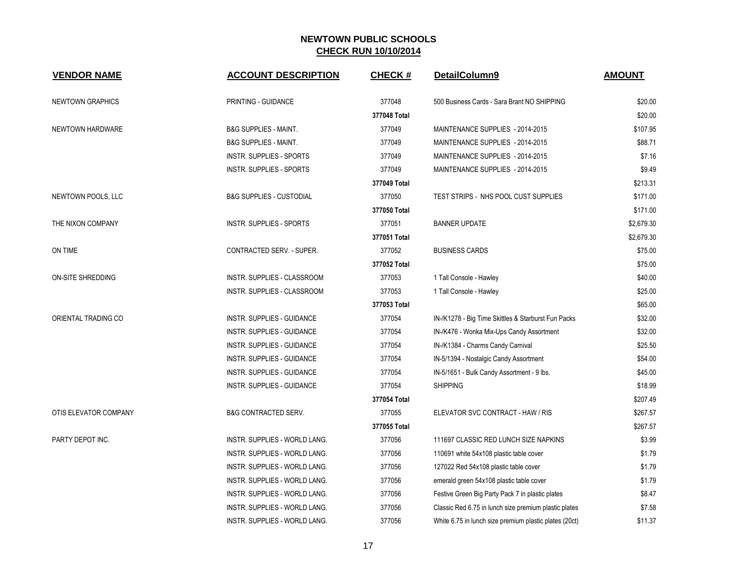| <b>VENDOR NAME</b>      | <b>ACCOUNT DESCRIPTION</b>           | <b>CHECK#</b> | DetailColumn9                                          | <b>AMOUNT</b> |
|-------------------------|--------------------------------------|---------------|--------------------------------------------------------|---------------|
| <b>NEWTOWN GRAPHICS</b> | PRINTING - GUIDANCE                  | 377048        | 500 Business Cards - Sara Brant NO SHIPPING            | \$20.00       |
|                         |                                      | 377048 Total  |                                                        | \$20.00       |
| NEWTOWN HARDWARE        | <b>B&amp;G SUPPLIES - MAINT.</b>     | 377049        | MAINTENANCE SUPPLIES - 2014-2015                       | \$107.95      |
|                         | <b>B&amp;G SUPPLIES - MAINT.</b>     | 377049        | MAINTENANCE SUPPLIES - 2014-2015                       | \$88.71       |
|                         | <b>INSTR. SUPPLIES - SPORTS</b>      | 377049        | MAINTENANCE SUPPLIES - 2014-2015                       | \$7.16        |
|                         | <b>INSTR. SUPPLIES - SPORTS</b>      | 377049        | MAINTENANCE SUPPLIES - 2014-2015                       | \$9.49        |
|                         |                                      | 377049 Total  |                                                        | \$213.31      |
| NEWTOWN POOLS, LLC      | <b>B&amp;G SUPPLIES - CUSTODIAL</b>  | 377050        | TEST STRIPS - NHS POOL CUST SUPPLIES                   | \$171.00      |
|                         |                                      | 377050 Total  |                                                        | \$171.00      |
| THE NIXON COMPANY       | <b>INSTR. SUPPLIES - SPORTS</b>      | 377051        | <b>BANNER UPDATE</b>                                   | \$2,679.30    |
|                         |                                      | 377051 Total  |                                                        | \$2,679.30    |
| ON TIME                 | CONTRACTED SERV. - SUPER.            | 377052        | <b>BUSINESS CARDS</b>                                  | \$75.00       |
|                         |                                      | 377052 Total  |                                                        | \$75.00       |
| ON-SITE SHREDDING       | INSTR. SUPPLIES - CLASSROOM          | 377053        | 1 Tall Console - Hawley                                | \$40.00       |
|                         | INSTR. SUPPLIES - CLASSROOM          | 377053        | 1 Tall Console - Hawley                                | \$25.00       |
|                         |                                      | 377053 Total  |                                                        | \$65.00       |
| ORIENTAL TRADING CO     | INSTR. SUPPLIES - GUIDANCE           | 377054        | IN-/K1278 - Big Time Skittles & Starburst Fun Packs    | \$32.00       |
|                         | INSTR. SUPPLIES - GUIDANCE           | 377054        | IN-/K476 - Wonka Mix-Ups Candy Assortment              | \$32.00       |
|                         | INSTR. SUPPLIES - GUIDANCE           | 377054        | IN-/K1384 - Charms Candy Carnival                      | \$25.50       |
|                         | INSTR. SUPPLIES - GUIDANCE           | 377054        | IN-5/1394 - Nostalgic Candy Assortment                 | \$54.00       |
|                         | INSTR. SUPPLIES - GUIDANCE           | 377054        | IN-5/1651 - Bulk Candy Assortment - 9 lbs.             | \$45.00       |
|                         | INSTR. SUPPLIES - GUIDANCE           | 377054        | <b>SHIPPING</b>                                        | \$18.99       |
|                         |                                      | 377054 Total  |                                                        | \$207.49      |
| OTIS ELEVATOR COMPANY   | <b>B&amp;G CONTRACTED SERV.</b>      | 377055        | ELEVATOR SVC CONTRACT - HAW / RIS                      | \$267.57      |
|                         |                                      | 377055 Total  |                                                        | \$267.57      |
| PARTY DEPOT INC.        | INSTR. SUPPLIES - WORLD LANG.        | 377056        | 111697 CLASSIC RED LUNCH SIZE NAPKINS                  | \$3.99        |
|                         | INSTR. SUPPLIES - WORLD LANG.        | 377056        | 110691 white 54x108 plastic table cover                | \$1.79        |
|                         | <b>INSTR. SUPPLIES - WORLD LANG.</b> | 377056        | 127022 Red 54x108 plastic table cover                  | \$1.79        |
|                         | <b>INSTR. SUPPLIES - WORLD LANG.</b> | 377056        | emerald green 54x108 plastic table cover               | \$1.79        |
|                         | INSTR. SUPPLIES - WORLD LANG.        | 377056        | Festive Green Big Party Pack 7 in plastic plates       | \$8.47        |
|                         | INSTR. SUPPLIES - WORLD LANG.        | 377056        | Classic Red 6.75 in lunch size premium plastic plates  | \$7.58        |
|                         | INSTR. SUPPLIES - WORLD LANG.        | 377056        | White 6.75 in lunch size premium plastic plates (20ct) | \$11.37       |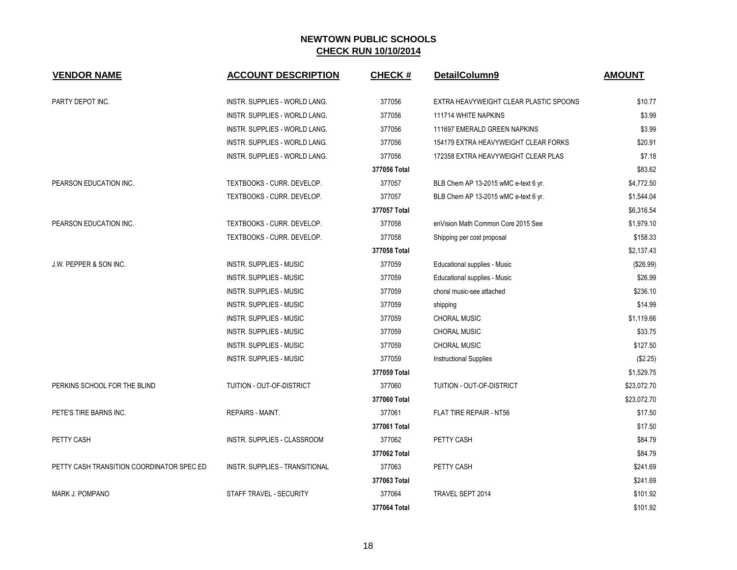| <b>VENDOR NAME</b>                        | <b>ACCOUNT DESCRIPTION</b>            | <b>CHECK#</b> | DetailColumn9                          | <b>AMOUNT</b> |
|-------------------------------------------|---------------------------------------|---------------|----------------------------------------|---------------|
| PARTY DEPOT INC.                          | INSTR. SUPPLIES - WORLD LANG.         | 377056        | EXTRA HEAVYWEIGHT CLEAR PLASTIC SPOONS | \$10.77       |
|                                           | INSTR. SUPPLIES - WORLD LANG.         | 377056        | 111714 WHITE NAPKINS                   | \$3.99        |
|                                           | INSTR. SUPPLIES - WORLD LANG.         | 377056        | 111697 EMERALD GREEN NAPKINS           | \$3.99        |
|                                           | <b>INSTR. SUPPLIES - WORLD LANG.</b>  | 377056        | 154179 EXTRA HEAVYWEIGHT CLEAR FORKS   | \$20.91       |
|                                           | INSTR. SUPPLIES - WORLD LANG.         | 377056        | 172358 EXTRA HEAVYWEIGHT CLEAR PLAS    | \$7.18        |
|                                           |                                       | 377056 Total  |                                        | \$83.62       |
| PEARSON EDUCATION INC.                    | TEXTBOOKS - CURR. DEVELOP.            | 377057        | BLB Chem AP 13-2015 wMC e-text 6 yr.   | \$4,772.50    |
|                                           | TEXTBOOKS - CURR. DEVELOP.            | 377057        | BLB Chem AP 13-2015 wMC e-text 6 yr.   | \$1,544.04    |
|                                           |                                       | 377057 Total  |                                        | \$6,316.54    |
| PEARSON EDUCATION INC.                    | TEXTBOOKS - CURR. DEVELOP.            | 377058        | enVision Math Common Core 2015 See     | \$1,979.10    |
|                                           | TEXTBOOKS - CURR. DEVELOP.            | 377058        | Shipping per cost proposal             | \$158.33      |
|                                           |                                       | 377058 Total  |                                        | \$2,137.43    |
| J.W. PEPPER & SON INC.                    | INSTR. SUPPLIES - MUSIC               | 377059        | Educational supplies - Music           | (\$26.99)     |
|                                           | INSTR. SUPPLIES - MUSIC               | 377059        | Educational supplies - Music           | \$26.99       |
|                                           | <b>INSTR. SUPPLIES - MUSIC</b>        | 377059        | choral music-see attached              | \$236.10      |
|                                           | INSTR. SUPPLIES - MUSIC               | 377059        | shipping                               | \$14.99       |
|                                           | INSTR. SUPPLIES - MUSIC               | 377059        | <b>CHORAL MUSIC</b>                    | \$1,119.66    |
|                                           | INSTR. SUPPLIES - MUSIC               | 377059        | <b>CHORAL MUSIC</b>                    | \$33.75       |
|                                           | <b>INSTR. SUPPLIES - MUSIC</b>        | 377059        | <b>CHORAL MUSIC</b>                    | \$127.50      |
|                                           | <b>INSTR. SUPPLIES - MUSIC</b>        | 377059        | <b>Instructional Supplies</b>          | (\$2.25)      |
|                                           |                                       | 377059 Total  |                                        | \$1,529.75    |
| PERKINS SCHOOL FOR THE BLIND              | TUITION - OUT-OF-DISTRICT             | 377060        | TUITION - OUT-OF-DISTRICT              | \$23,072.70   |
|                                           |                                       | 377060 Total  |                                        | \$23,072.70   |
| PETE'S TIRE BARNS INC.                    | <b>REPAIRS - MAINT.</b>               | 377061        | FLAT TIRE REPAIR - NT56                | \$17.50       |
|                                           |                                       | 377061 Total  |                                        | \$17.50       |
| PETTY CASH                                | <b>INSTR. SUPPLIES - CLASSROOM</b>    | 377062        | PETTY CASH                             | \$84.79       |
|                                           |                                       | 377062 Total  |                                        | \$84.79       |
| PETTY CASH TRANSITION COORDINATOR SPEC ED | <b>INSTR. SUPPLIES - TRANSITIONAL</b> | 377063        | PETTY CASH                             | \$241.69      |
|                                           |                                       | 377063 Total  |                                        | \$241.69      |
| MARK J. POMPANO                           | STAFF TRAVEL - SECURITY               | 377064        | TRAVEL SEPT 2014                       | \$101.92      |
|                                           |                                       | 377064 Total  |                                        | \$101.92      |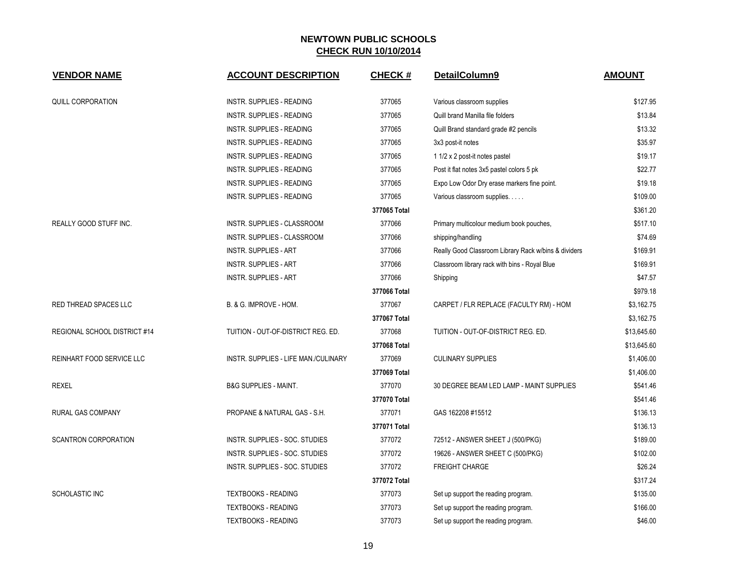| <b>VENDOR NAME</b>               | <b>ACCOUNT DESCRIPTION</b>           | <b>CHECK#</b> | DetailColumn9                                        | <b>AMOUNT</b> |
|----------------------------------|--------------------------------------|---------------|------------------------------------------------------|---------------|
| QUILL CORPORATION                | <b>INSTR. SUPPLIES - READING</b>     | 377065        | Various classroom supplies                           | \$127.95      |
|                                  | <b>INSTR. SUPPLIES - READING</b>     | 377065        | Quill brand Manilla file folders                     | \$13.84       |
|                                  | <b>INSTR. SUPPLIES - READING</b>     | 377065        | Quill Brand standard grade #2 pencils                | \$13.32       |
|                                  | <b>INSTR. SUPPLIES - READING</b>     | 377065        | 3x3 post-it notes                                    | \$35.97       |
|                                  | INSTR. SUPPLIES - READING            | 377065        | 1 1/2 x 2 post-it notes pastel                       | \$19.17       |
|                                  | <b>INSTR. SUPPLIES - READING</b>     | 377065        | Post it flat notes 3x5 pastel colors 5 pk            | \$22.77       |
|                                  | <b>INSTR. SUPPLIES - READING</b>     | 377065        | Expo Low Odor Dry erase markers fine point.          | \$19.18       |
|                                  | <b>INSTR. SUPPLIES - READING</b>     | 377065        | Various classroom supplies.                          | \$109.00      |
|                                  |                                      | 377065 Total  |                                                      | \$361.20      |
| REALLY GOOD STUFF INC.           | INSTR. SUPPLIES - CLASSROOM          | 377066        | Primary multicolour medium book pouches,             | \$517.10      |
|                                  | INSTR. SUPPLIES - CLASSROOM          | 377066        | shipping/handling                                    | \$74.69       |
|                                  | <b>INSTR. SUPPLIES - ART</b>         | 377066        | Really Good Classroom Library Rack w/bins & dividers | \$169.91      |
|                                  | <b>INSTR. SUPPLIES - ART</b>         | 377066        | Classroom library rack with bins - Royal Blue        | \$169.91      |
|                                  | <b>INSTR. SUPPLIES - ART</b>         | 377066        | Shipping                                             | \$47.57       |
|                                  |                                      | 377066 Total  |                                                      | \$979.18      |
| RED THREAD SPACES LLC            | B. & G. IMPROVE - HOM.               | 377067        | CARPET / FLR REPLACE (FACULTY RM) - HOM              | \$3,162.75    |
|                                  |                                      | 377067 Total  |                                                      | \$3,162.75    |
| REGIONAL SCHOOL DISTRICT #14     | TUITION - OUT-OF-DISTRICT REG. ED.   | 377068        | TUITION - OUT-OF-DISTRICT REG. ED.                   | \$13,645.60   |
|                                  |                                      | 377068 Total  |                                                      | \$13,645.60   |
| <b>REINHART FOOD SERVICE LLC</b> | INSTR. SUPPLIES - LIFE MAN./CULINARY | 377069        | <b>CULINARY SUPPLIES</b>                             | \$1,406.00    |
|                                  |                                      | 377069 Total  |                                                      | \$1,406.00    |
| <b>REXEL</b>                     | <b>B&amp;G SUPPLIES - MAINT.</b>     | 377070        | 30 DEGREE BEAM LED LAMP - MAINT SUPPLIES             | \$541.46      |
|                                  |                                      | 377070 Total  |                                                      | \$541.46      |
| <b>RURAL GAS COMPANY</b>         | PROPANE & NATURAL GAS - S.H.         | 377071        | GAS 162208 #15512                                    | \$136.13      |
|                                  |                                      | 377071 Total  |                                                      | \$136.13      |
| <b>SCANTRON CORPORATION</b>      | INSTR. SUPPLIES - SOC. STUDIES       | 377072        | 72512 - ANSWER SHEET J (500/PKG)                     | \$189.00      |
|                                  | INSTR. SUPPLIES - SOC. STUDIES       | 377072        | 19626 - ANSWER SHEET C (500/PKG)                     | \$102.00      |
|                                  | INSTR. SUPPLIES - SOC. STUDIES       | 377072        | <b>FREIGHT CHARGE</b>                                | \$26.24       |
|                                  |                                      | 377072 Total  |                                                      | \$317.24      |
| SCHOLASTIC INC                   | <b>TEXTBOOKS - READING</b>           | 377073        | Set up support the reading program.                  | \$135.00      |
|                                  | <b>TEXTBOOKS - READING</b>           | 377073        | Set up support the reading program.                  | \$166.00      |
|                                  | <b>TEXTBOOKS - READING</b>           | 377073        | Set up support the reading program.                  | \$46.00       |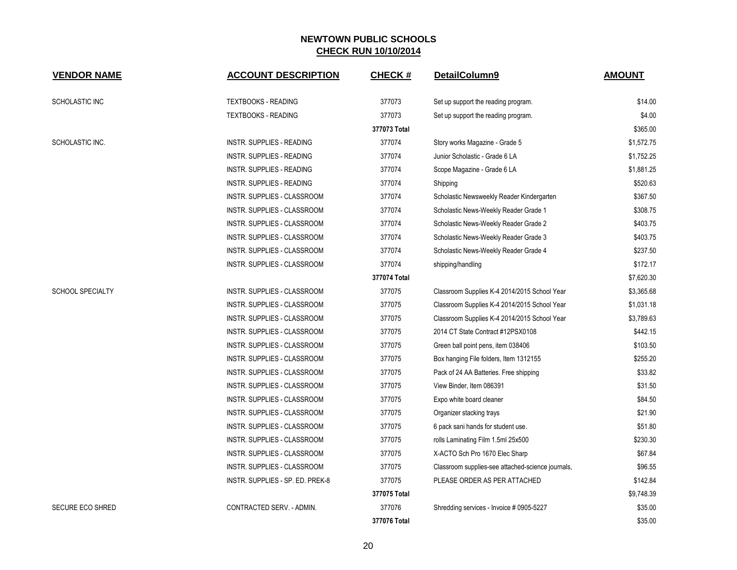| <b>VENDOR NAME</b>      | <b>ACCOUNT DESCRIPTION</b>         | <b>CHECK#</b> | DetailColumn9                                     | <b>AMOUNT</b> |
|-------------------------|------------------------------------|---------------|---------------------------------------------------|---------------|
| SCHOLASTIC INC          | <b>TEXTBOOKS - READING</b>         | 377073        | Set up support the reading program.               | \$14.00       |
|                         | <b>TEXTBOOKS - READING</b>         | 377073        | Set up support the reading program.               | \$4.00        |
|                         |                                    | 377073 Total  |                                                   | \$365.00      |
| SCHOLASTIC INC.         | <b>INSTR. SUPPLIES - READING</b>   | 377074        | Story works Magazine - Grade 5                    | \$1,572.75    |
|                         | INSTR. SUPPLIES - READING          | 377074        | Junior Scholastic - Grade 6 LA                    | \$1,752.25    |
|                         | INSTR. SUPPLIES - READING          | 377074        | Scope Magazine - Grade 6 LA                       | \$1,881.25    |
|                         | INSTR. SUPPLIES - READING          | 377074        | Shipping                                          | \$520.63      |
|                         | INSTR. SUPPLIES - CLASSROOM        | 377074        | Scholastic Newsweekly Reader Kindergarten         | \$367.50      |
|                         | INSTR. SUPPLIES - CLASSROOM        | 377074        | Scholastic News-Weekly Reader Grade 1             | \$308.75      |
|                         | INSTR. SUPPLIES - CLASSROOM        | 377074        | Scholastic News-Weekly Reader Grade 2             | \$403.75      |
|                         | INSTR. SUPPLIES - CLASSROOM        | 377074        | Scholastic News-Weekly Reader Grade 3             | \$403.75      |
|                         | INSTR. SUPPLIES - CLASSROOM        | 377074        | Scholastic News-Weekly Reader Grade 4             | \$237.50      |
|                         | INSTR. SUPPLIES - CLASSROOM        | 377074        | shipping/handling                                 | \$172.17      |
|                         |                                    | 377074 Total  |                                                   | \$7,620.30    |
| <b>SCHOOL SPECIALTY</b> | INSTR. SUPPLIES - CLASSROOM        | 377075        | Classroom Supplies K-4 2014/2015 School Year      | \$3,365.68    |
|                         | INSTR. SUPPLIES - CLASSROOM        | 377075        | Classroom Supplies K-4 2014/2015 School Year      | \$1,031.18    |
|                         | INSTR. SUPPLIES - CLASSROOM        | 377075        | Classroom Supplies K-4 2014/2015 School Year      | \$3,789.63    |
|                         | INSTR. SUPPLIES - CLASSROOM        | 377075        | 2014 CT State Contract #12PSX0108                 | \$442.15      |
|                         | INSTR. SUPPLIES - CLASSROOM        | 377075        | Green ball point pens, item 038406                | \$103.50      |
|                         | INSTR. SUPPLIES - CLASSROOM        | 377075        | Box hanging File folders, Item 1312155            | \$255.20      |
|                         | <b>INSTR. SUPPLIES - CLASSROOM</b> | 377075        | Pack of 24 AA Batteries. Free shipping            | \$33.82       |
|                         | INSTR. SUPPLIES - CLASSROOM        | 377075        | View Binder, Item 086391                          | \$31.50       |
|                         | INSTR. SUPPLIES - CLASSROOM        | 377075        | Expo white board cleaner                          | \$84.50       |
|                         | INSTR. SUPPLIES - CLASSROOM        | 377075        | Organizer stacking trays                          | \$21.90       |
|                         | INSTR. SUPPLIES - CLASSROOM        | 377075        | 6 pack sani hands for student use.                | \$51.80       |
|                         | INSTR. SUPPLIES - CLASSROOM        | 377075        | rolls Laminating Film 1.5ml 25x500                | \$230.30      |
|                         | INSTR. SUPPLIES - CLASSROOM        | 377075        | X-ACTO Sch Pro 1670 Elec Sharp                    | \$67.84       |
|                         | INSTR. SUPPLIES - CLASSROOM        | 377075        | Classroom supplies-see attached-science journals, | \$96.55       |
|                         | INSTR. SUPPLIES - SP. ED. PREK-8   | 377075        | PLEASE ORDER AS PER ATTACHED                      | \$142.84      |
|                         |                                    | 377075 Total  |                                                   | \$9,748.39    |
| <b>SECURE ECO SHRED</b> | CONTRACTED SERV. - ADMIN.          | 377076        | Shredding services - Invoice # 0905-5227          | \$35.00       |
|                         |                                    | 377076 Total  |                                                   | \$35.00       |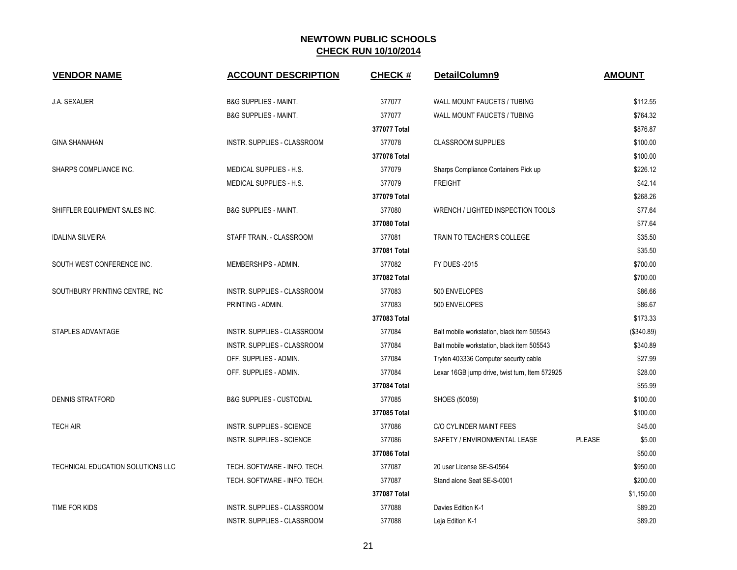| <b>VENDOR NAME</b>                | <b>ACCOUNT DESCRIPTION</b>          | <b>CHECK#</b> | DetailColumn9                                  |               | <b>AMOUNT</b> |
|-----------------------------------|-------------------------------------|---------------|------------------------------------------------|---------------|---------------|
| J.A. SEXAUER                      | <b>B&amp;G SUPPLIES - MAINT.</b>    | 377077        | WALL MOUNT FAUCETS / TUBING                    |               | \$112.55      |
|                                   | <b>B&amp;G SUPPLIES - MAINT.</b>    | 377077        | WALL MOUNT FAUCETS / TUBING                    |               | \$764.32      |
|                                   |                                     | 377077 Total  |                                                |               | \$876.87      |
| <b>GINA SHANAHAN</b>              | INSTR. SUPPLIES - CLASSROOM         | 377078        | <b>CLASSROOM SUPPLIES</b>                      |               | \$100.00      |
|                                   |                                     | 377078 Total  |                                                |               | \$100.00      |
| SHARPS COMPLIANCE INC.            | MEDICAL SUPPLIES - H.S.             | 377079        | Sharps Compliance Containers Pick up           |               | \$226.12      |
|                                   | MEDICAL SUPPLIES - H.S.             | 377079        | <b>FREIGHT</b>                                 |               | \$42.14       |
|                                   |                                     | 377079 Total  |                                                |               | \$268.26      |
| SHIFFLER EQUIPMENT SALES INC.     | <b>B&amp;G SUPPLIES - MAINT.</b>    | 377080        | WRENCH / LIGHTED INSPECTION TOOLS              |               | \$77.64       |
|                                   |                                     | 377080 Total  |                                                |               | \$77.64       |
| <b>IDALINA SILVEIRA</b>           | STAFF TRAIN. - CLASSROOM            | 377081        | TRAIN TO TEACHER'S COLLEGE                     |               | \$35.50       |
|                                   |                                     | 377081 Total  |                                                |               | \$35.50       |
| SOUTH WEST CONFERENCE INC.        | MEMBERSHIPS - ADMIN.                | 377082        | <b>FY DUES -2015</b>                           |               | \$700.00      |
|                                   |                                     | 377082 Total  |                                                |               | \$700.00      |
| SOUTHBURY PRINTING CENTRE, INC    | <b>INSTR. SUPPLIES - CLASSROOM</b>  | 377083        | 500 ENVELOPES                                  |               | \$86.66       |
|                                   | PRINTING - ADMIN.                   | 377083        | 500 ENVELOPES                                  |               | \$86.67       |
|                                   |                                     | 377083 Total  |                                                |               | \$173.33      |
| STAPLES ADVANTAGE                 | INSTR. SUPPLIES - CLASSROOM         | 377084        | Balt mobile workstation, black item 505543     |               | (\$340.89)    |
|                                   | INSTR. SUPPLIES - CLASSROOM         | 377084        | Balt mobile workstation, black item 505543     |               | \$340.89      |
|                                   | OFF. SUPPLIES - ADMIN.              | 377084        | Tryten 403336 Computer security cable          |               | \$27.99       |
|                                   | OFF. SUPPLIES - ADMIN.              | 377084        | Lexar 16GB jump drive, twist turn, Item 572925 |               | \$28.00       |
|                                   |                                     | 377084 Total  |                                                |               | \$55.99       |
| <b>DENNIS STRATFORD</b>           | <b>B&amp;G SUPPLIES - CUSTODIAL</b> | 377085        | SHOES (50059)                                  |               | \$100.00      |
|                                   |                                     | 377085 Total  |                                                |               | \$100.00      |
| <b>TECH AIR</b>                   | INSTR. SUPPLIES - SCIENCE           | 377086        | C/O CYLINDER MAINT FEES                        |               | \$45.00       |
|                                   | INSTR. SUPPLIES - SCIENCE           | 377086        | SAFETY / ENVIRONMENTAL LEASE                   | <b>PLEASE</b> | \$5.00        |
|                                   |                                     | 377086 Total  |                                                |               | \$50.00       |
| TECHNICAL EDUCATION SOLUTIONS LLC | TECH. SOFTWARE - INFO. TECH.        | 377087        | 20 user License SE-S-0564                      |               | \$950.00      |
|                                   | TECH. SOFTWARE - INFO. TECH.        | 377087        | Stand alone Seat SE-S-0001                     |               | \$200.00      |
|                                   |                                     | 377087 Total  |                                                |               | \$1,150.00    |
| TIME FOR KIDS                     | INSTR. SUPPLIES - CLASSROOM         | 377088        | Davies Edition K-1                             |               | \$89.20       |
|                                   | INSTR. SUPPLIES - CLASSROOM         | 377088        | Leja Edition K-1                               |               | \$89.20       |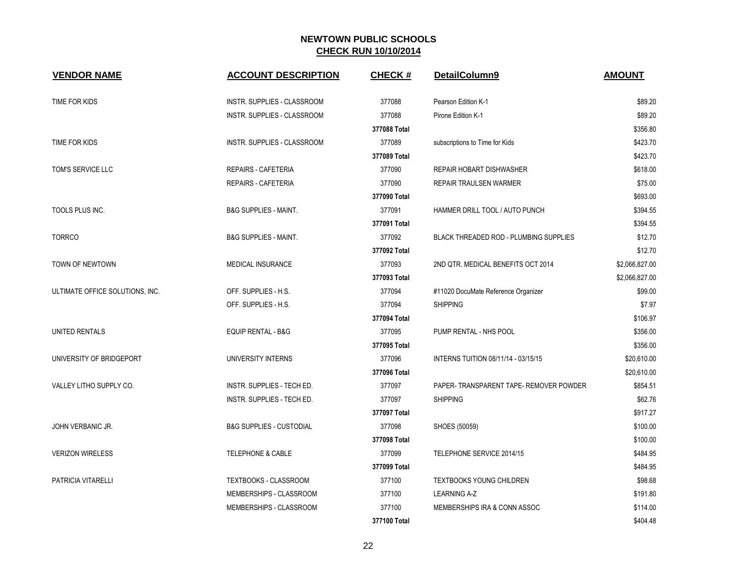| <b>VENDOR NAME</b>              | <b>ACCOUNT DESCRIPTION</b>          | <b>CHECK#</b> | DetailColumn9                                 | <b>AMOUNT</b>  |
|---------------------------------|-------------------------------------|---------------|-----------------------------------------------|----------------|
| TIME FOR KIDS                   | <b>INSTR. SUPPLIES - CLASSROOM</b>  | 377088        | Pearson Edition K-1                           | \$89.20        |
|                                 | INSTR. SUPPLIES - CLASSROOM         | 377088        | Pirone Edition K-1                            | \$89.20        |
|                                 |                                     | 377088 Total  |                                               | \$356.80       |
| TIME FOR KIDS                   | INSTR. SUPPLIES - CLASSROOM         | 377089        | subscriptions to Time for Kids                | \$423.70       |
|                                 |                                     | 377089 Total  |                                               | \$423.70       |
| TOM'S SERVICE LLC               | <b>REPAIRS - CAFETERIA</b>          | 377090        | <b>REPAIR HOBART DISHWASHER</b>               | \$618.00       |
|                                 | REPAIRS - CAFETERIA                 | 377090        | REPAIR TRAULSEN WARMER                        | \$75.00        |
|                                 |                                     | 377090 Total  |                                               | \$693.00       |
| TOOLS PLUS INC.                 | <b>B&amp;G SUPPLIES - MAINT.</b>    | 377091        | HAMMER DRILL TOOL / AUTO PUNCH                | \$394.55       |
|                                 |                                     | 377091 Total  |                                               | \$394.55       |
| <b>TORRCO</b>                   | <b>B&amp;G SUPPLIES - MAINT.</b>    | 377092        | <b>BLACK THREADED ROD - PLUMBING SUPPLIES</b> | \$12.70        |
|                                 |                                     | 377092 Total  |                                               | \$12.70        |
| TOWN OF NEWTOWN                 | MEDICAL INSURANCE                   | 377093        | 2ND QTR. MEDICAL BENEFITS OCT 2014            | \$2,066,827.00 |
|                                 |                                     | 377093 Total  |                                               | \$2,066,827.00 |
| ULTIMATE OFFICE SOLUTIONS, INC. | OFF. SUPPLIES - H.S.                | 377094        | #11020 DocuMate Reference Organizer           | \$99.00        |
|                                 | OFF. SUPPLIES - H.S.                | 377094        | <b>SHIPPING</b>                               | \$7.97         |
|                                 |                                     | 377094 Total  |                                               | \$106.97       |
| UNITED RENTALS                  | <b>EQUIP RENTAL - B&amp;G</b>       | 377095        | PUMP RENTAL - NHS POOL                        | \$356.00       |
|                                 |                                     | 377095 Total  |                                               | \$356.00       |
| UNIVERSITY OF BRIDGEPORT        | UNIVERSITY INTERNS                  | 377096        | INTERNS TUITION 08/11/14 - 03/15/15           | \$20,610.00    |
|                                 |                                     | 377096 Total  |                                               | \$20,610.00    |
| VALLEY LITHO SUPPLY CO.         | INSTR. SUPPLIES - TECH ED.          | 377097        | PAPER- TRANSPARENT TAPE- REMOVER POWDER       | \$854.51       |
|                                 | INSTR. SUPPLIES - TECH ED.          | 377097        | <b>SHIPPING</b>                               | \$62.76        |
|                                 |                                     | 377097 Total  |                                               | \$917.27       |
| JOHN VERBANIC JR.               | <b>B&amp;G SUPPLIES - CUSTODIAL</b> | 377098        | SHOES (50059)                                 | \$100.00       |
|                                 |                                     | 377098 Total  |                                               | \$100.00       |
| <b>VERIZON WIRELESS</b>         | <b>TELEPHONE &amp; CABLE</b>        | 377099        | TELEPHONE SERVICE 2014/15                     | \$484.95       |
|                                 |                                     | 377099 Total  |                                               | \$484.95       |
| PATRICIA VITARELLI              | TEXTBOOKS - CLASSROOM               | 377100        | <b>TEXTBOOKS YOUNG CHILDREN</b>               | \$98.68        |
|                                 | MEMBERSHIPS - CLASSROOM             | 377100        | <b>LEARNING A-Z</b>                           | \$191.80       |
|                                 | MEMBERSHIPS - CLASSROOM             | 377100        | MEMBERSHIPS IRA & CONN ASSOC                  | \$114.00       |
|                                 |                                     | 377100 Total  |                                               | \$404.48       |